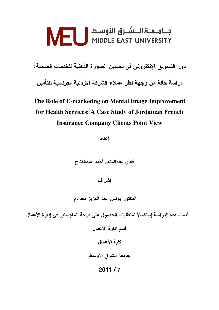# 

دور التسويق الإلكتروني في تحسين الصورة الذهنية للخدمات الصحية: دراسة حالة من وجهة نظر عملاء الشركة الأردنية الفرنسية للتأمين

# The Role of E-marketing on Mental Image Improvement for Health Services: A Case Study of Jordanian French **Insurance Company Clients Point View**

اعداد

فادي عبدالمنعم أحمد عبدالفتاح

إشراف

الدكتور يونس عبد العزيز مقدادى

قدمت هذه الدراسة إستكمالاً لمتطلبات الحصول على درجة الماجستير في إدارة الأعمال

قسم إدارة الأعمال كلية الأعمال جامعة الشرق الأوسط

 $2011/7$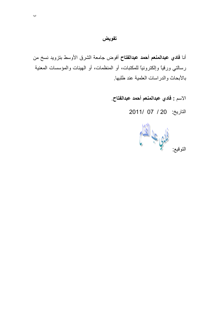## تفويض

أنا **فادي عبدالمنعم أحمد عبدالفتاح** أفوض جامعة الشرق الأوسط بتزويد نسخ من رسالتي ورقيًا وإلكترونيًا للمكتبات، أو المنظمات، أو الهيئات والمؤسسات المعنية بالأبحاث والدراسات العلمية عند طلبها

الاسم : فادي عبدالمنعم أحمد عبدالفتاح.

التاريخ: 20 / 20 /2011



 $\overline{\phantom{0}}$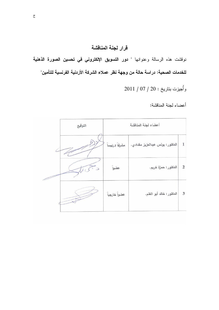# قرار لجنة المناقشة

نوقشت هذه الرسالة وعنوانها " **دور التسويق الإلكتروني في تحسين الصورة الذهنية** للخدمات الصحية: دراسة حالة من وجهة نظر عملاء الشركة الأردنية الفرنسية للتأمين"

 $2011$  /  $07$  /  $20:$  وأُجيزت بتاريخ

أعضاء لجنة المناقشة:

| التوقيع |               | أعضاء لجنة المناقشة              |                |
|---------|---------------|----------------------------------|----------------|
|         | مشرفأ ورئيساً | الدكتور : يونس عبدالعزيز مقدادي. | $\mathbf{1}$   |
|         | عضوأ          | الدكتور : حمزة خريم.             | $\overline{2}$ |
|         | عضواً خارجياً | الدكتور : خالد أبو الغنم.        | 3              |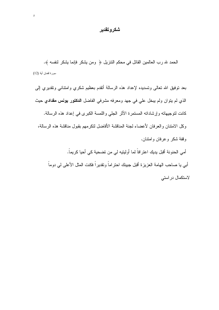## شكروتقدير

 $\Delta$ 

الحمد لله رب العالمين القائل في محكم النتزيل ﴿ ومِن يَشْكَر فَإِنَّمَا يَشْكَر لَنَفْسَهُ ﴾. سورة لقمان أية (12)

بعد نوفيق الله نعالى ونسديده لإعداد هذه الرسالة أنقدم بعظيم شكري وامنتاني ونقديري إلى الذي لم يتوان ولم يبخل على في جهد ومعرفه مشرفي الفاضل ا**لدكتور يونس مقدادي** حيث كانت لنوجيهاته وإرشاداته المستمرة الأثر الجلي واللمسة الكبرى في إعداد هذه الرسالة. وكل الامتنان والعرفان لأعضاء لجنة المناقشة الأفاضل لتكريمهم بقبول مناقشة هذه الرسالة، وقفة شكر وعرفان وامتنان. أمي الحنونة أقبل يديك اعترافاً لما أوليتيه لي من تضحية كي أحيا كريماً. أبـي يا صـاحب الـهامـة الـعزيزة أقبل جبينك احتراماً وتقديراً فكنت المثل الأعلـي لـي دوماً لاستكمال در استى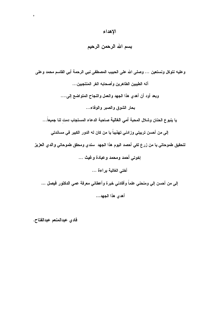#### الإهداء

بسم الله الرحمن الرحيم

وعليه نتوكل ونستعين … وصلى الله على الحبيب المصطفى نبي الرحمة أبي القاسم محمد وعلى آله الطبيين الطاهرين وأصحابه الغر المنتجبين... وبعد أود أن أهدي هذا الجهد والعمل والنجاح المتواضع إلى.... بحار الشوق والصبر والوفاء... يا ينبوع الحنان وشلال المحبة أمي الغالية صاحبة الدعاء المستجاب دمت لنا جميعاً… إلى من أحسن تربيتي وزادني تهذيباً يا من كان له الدور الكبير في مساندتي لتحقيق طموحاتي يا من زرع لكي أحصد اليوم هذا الجهد سندي ومحقق طموحاتي والدي العزيز. إخوتي أحمد ومحمد وعبادة وغيث ... أختى الغالبة براءة ... إلى من أحسن إلى ومنحنى علماً وأفادني خبرة وأعطاني معرفة عمى الدكتور فيصل ... أهدى هذا الجهد...

فادى عبدالمنعم عبدالفتاح.

 $\bullet$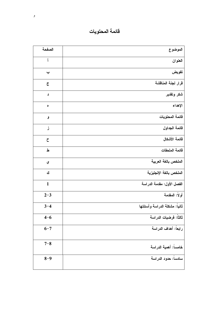## فائمة المحتويات

| الصفحة                  | الموضوع                        |
|-------------------------|--------------------------------|
| ĵ                       | العنوان                        |
| $\ddot{\phantom{0}}$    | تفويض                          |
| $\overline{\mathbb{C}}$ | قرار لجنة المناقشة             |
| د                       | شكر وتقدير                     |
| ٥                       | الإهداء                        |
| و                       | قائمة المحتويات                |
| Ĵ                       | فائمة الجداول                  |
| $\zeta$                 | فائمة الأشكال                  |
| ط                       | قائمة الملحقات                 |
| ي                       | الملخص بالغة العربية           |
| ك                       | الملخص بالغة الإنجليزية        |
| $\mathbf{1}$            | الفصل الأول: مقدمة الدراسة     |
| $2 - 3$                 | أولاً: المقدمة                 |
| $3 - 4$                 | ثانياً: مشكلة الدراسة وأسئلتها |
| $4 - 6$                 | ثالثاً: فرضيات الدراسة         |
| $6 - 7$                 | رابعاً: أهداف الدراسة          |
| $7 - 8$                 | خامساً: أهمية الدراسة          |
| $8 - 9$                 | سادساً: حدود الدراسة           |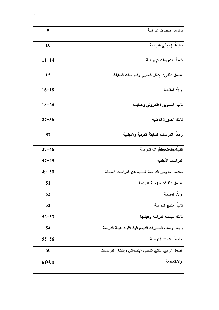| 9         | سادسا: محددات الدراسة                                 |
|-----------|-------------------------------------------------------|
| 10        | سابعا: إنموذج الدراسة                                 |
| $11 - 14$ | ثامناً: التعريفات الإجرائية                           |
| 15        | الفصل الثاني: الإطار النظري والدراسات السابقة         |
| $16 - 18$ | أو لاً: المقدمة                                       |
| $18 - 26$ | ثانيا: التسويق الإلكتروني وعملياته                    |
| $27 - 36$ | ثالثاً: الصورة الذهنية                                |
| 37        | رابعاً: الدراسات السابقة العربية والأجنبية            |
| $37 - 46$ | ثاللوااسواضظلعرمبتيقيرات الدراسة                      |
| $47 - 49$ | الدر اسات الأجنبية                                    |
| $49 - 50$ | سادساً: ما يميز الدراسة الحالية عن الدراسات السابقة   |
| 51        | الفصل الثالث: منهجية الدراسة                          |
| 52        | أولاً: المقدمة                                        |
| 52        | ثانيا: منهج الدراسة                                   |
| $52 - 53$ | ثالثا: مجتمع الدراسة وعينتها                          |
| 54        | رابعا: وصف المتغيرات الديمغرافية لأفراد عينة الدراسة  |
| $55 - 56$ | خامسا: أدوات الدراسة                                  |
| 60        | الفصل الرابع: نتائج التحليل الإحصائي وإختبار الفرضيات |
| 6150      | أولا:المقدمة                                          |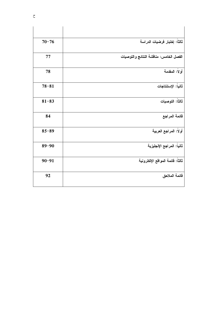| ثالثاً: إختبار فرضيات الدراسة          | $70 - 76$ |
|----------------------------------------|-----------|
| الفصل الخامس: مناقشة النتائج والتوصيات | 77        |
| أولاً: المقدمة                         | 78        |
| ثانياً: الإستنتاجات                    | $78 - 81$ |
| ثالثاً: التوصيات                       | $81 - 83$ |
| فائمة المراجع                          | 84        |
| أولاً: المراجع العربية                 | $85 - 89$ |
| ثانياً: المراجع الإنجليزية             | $89 - 90$ |
| ثالثاً: قائمة المواقع الإلكترونية      | $90 - 91$ |
| فائمة الملاحق                          | 92        |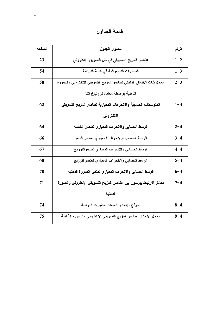| الصفحة | محتوى الجدول                                                         | الرقم   |
|--------|----------------------------------------------------------------------|---------|
| 23     | عناصر المزيج التسويقي في ظل التسويق الإلكتروني                       | $1 - 2$ |
| 54     | المتغيرات الديمغرافية في عينة الدراسة                                | $1 - 3$ |
| 58     | معامل ثبات الاتساق الداخلي لعناصر المزيج التسويقي الإلكتروني والصورة | $2 - 3$ |
|        | الذهنية بواسطة معامل كرونباخ الفا                                    |         |
| 62     | المتوسطات الحسابية والانحرافات المعيارية لعناصر المزيج التسويقي      | $1 - 4$ |
|        | الإلكترونى                                                           |         |
| 64     | الوسط الحسابى والانحراف المعيارى لعنصر الخدمة                        | $2 - 4$ |
| 66     | الوسط الحسابي والانحراف المعياري لعنصر السعر                         | $3 - 4$ |
| 67     | الوسط الحسابي والانحراف المعياري لعنصر الترويج                       | $4 - 4$ |
| 68     | الوسط الحسابي والانحراف المعيارى لعنصر التوزيع                       | $5 - 4$ |
| 70     | الوسط الحسابي والانحراف المعيارى لمتغير الصورة الذهنية               | $6 - 4$ |
| 71     | معامل الارتباط بيرسون بين عناصر المزيج التسويقي الإلكتروني والصورة   | $7 - 4$ |
|        | الذهنية                                                              |         |
| 74     | نموذج الانحدار المتعدد لمتغيرات الدراسة                              | $8 - 4$ |
| 75     | معامل الانحدار لعناصر المزيج التسويقى الإلكترونى والصورة الذهنية     | $9 - 4$ |

قائمة الجداول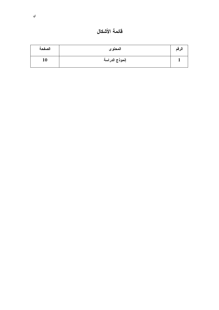فأئمة الأشكال

| الصفحة | المحتوى        | الرقم |
|--------|----------------|-------|
| 10     | إنموذج الدراسة |       |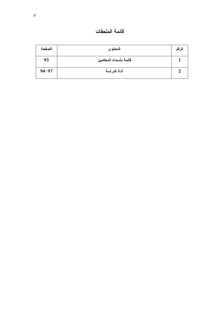| قائمة الملحقات |  |
|----------------|--|
|----------------|--|

| الصفحة    | المحتوى               | الرقم |
|-----------|-----------------------|-------|
| 93        | قائمة بأسماء المحكمين |       |
| $94 - 97$ | أداة الدراسة          |       |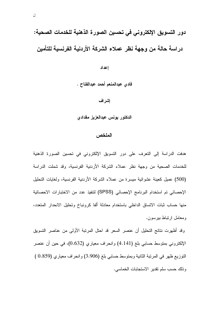إعداد

فادى عبدالمنعم أحمد عبدالفتاح .

إشراف

الدكتور يونس عبدالعزيز مقدا*دي* 

#### الملخص

هدفت الدراسة إلى النعرف على دور النسويق الإلكتروني في تحسين الصورة الذهنية للخدمات الصحية من وجهة نظر عملاء الشركة الأردنية الفرنسية، وقد شملت الدراسة (500) عميل كعينة عشوائية ميسرة من عملاء الشركة الأردنية الفرنسية، ولغايات التحليل الإحصائي تم استخدام البرنامج الإحصائي (SPSS) لتنفيذ عدد من الاختبارات الاحصائية منها حساب ثبات الاتساق الداخلي باستخدام معادلة ألفا كرونباخ وتحليل الانحدار المتعدد، ومعامل ارتباط ببرسون.

وقد أظهرت نتائج التحليل أن عنصر السعر قد احتل المرتبة الأولى من عناصر التسويق الإلكتروني بمتوسط حسابي بلغ (4.141) وانحراف معياري (0.632)، في حين أن عنصر التوزيع ظهر في المرتبة الثانية وبمتوسط حسابي بلغ (3.906) وانحراف معياري (0.859 ) وذلك حسب سلم تقدير الاستجابات الخماسى.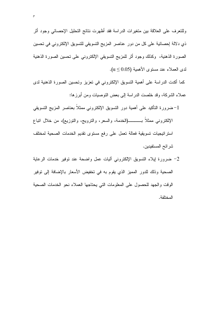وللنعرف على العلاقة بين متغيرات الدراسة فقد أظهرت نتائج التحليل الإحصائي وجود أثر ذي دلالة إحصائية على كل من دور عناصر المزيج النسويقي للنسويق الإلكتروني في تحسين الصورة الذهنية، ۖ وكذلك وجود أثر للمزيج التسويقي الإلكترونـي علـي تحسين الصورة الذهنية  $\cdot$ لدى العملاء عند مستوى الأهمية (0.05 $\alpha \leq 0.0$ 

كما أكدت الدراسة على أهمية التسويق الإلكتروني في تعزيز وتحسين الصورة الذهنية لدى عملاء الشركة، وقد خلصت الدراسة إلى بعض النوصيات ومن أبرزها:

- 1–ضرورة التأكيد على أهمية دور التسويق الإلكتروني ممثلا بعناصر المزيج التسويقي استراتيجيات تسويقية فعالة تعمل على رفع مستوى تقديم الخدمات الصحية لمختلف شر ائح المستفيدين.
- 2- ضرورة إيلاء التسويق الإلكتروني أليات عمل واضحة عند نوفير خدمات الرعاية الصحية وذلك للدور المميز الذي يقوم به في نخفيض الأسعار بالإضافة إلى نوفير الوقت والجهد للحصول على المعلومات التي يحتاجها العملاء نحو الخدمات الصحية المختلفة.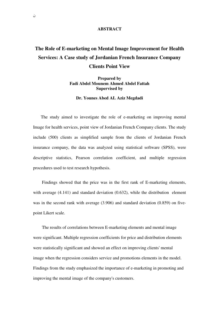#### **ABSTRACT**

# **The Role of E-marketing on Mental Image Improvement for Health Services: A Case study of Jordanian French Insurance Company Clients Point View**

**Prepared by Fadi Abdel Mounem Ahmed Abdel Fattah Supervised by** 

**Dr. Younes Abed AL Aziz Megdadi**

 The study aimed to investigate the role of e-marketing on improving mental Image for health services, point view of Jordanian French Company clients. The study include (500) clients as simplified sample from the clients of Jordanian French insurance company, the data was analyzed using statistical software (SPSS), were descriptive statistics, Pearson correlation coefficient, and multiple regression procedures used to test research hypothesis.

 Findings showed that the price was in the first rank of E-marketing elements, with average (4.141) and standard deviation (0.632), while the distribution element was in the second rank with average (3.906) and standard deviation (0.859) on fivepoint Likert scale.

 The results of correlations between E-marketing elements and mental image were significant. Multiple regression coefficients for price and distribution elements were statistically significant and showed an effect on improving clients' mental image when the regression considers service and promotions elements in the model. Findings from the study emphasized the importance of e-marketing in promoting and improving the mental image of the company's customers.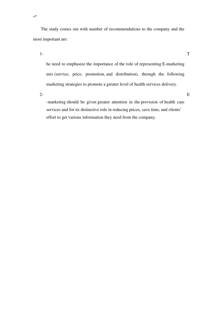The study comes out with number of recommendations to the company and the most important are:

1- T

he need to emphasize the importance of the role of representing E-marketing mix (service, price, promotion, and distribution), through the following marketing strategies to promote a greater level of health services delivery.

 $2$ -

-marketing should be given greater attention in the provision of health care services and for its distinctive role in reducing prices, save time, and clients' effort to get various information they need from the company.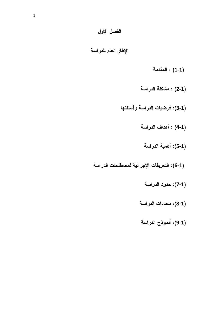## الفصل الأول

# الإطار العام للدراسة

- (1-1) : المقدمة
- (1-2) : مشكلة الدراسة
- (1-3): فرضيات الدراسة وأسئلتها
	- (4-1) : أهداف الدراسة
		- (1-5): أهمية الدراسة
- (1-6): التعريفات الإجرائية لمصطلحات الدراسة
	- (1-7): حدود الدراسة
	- (8-1): محددات الدراسة
	- (1-9): أنموذج الدراسة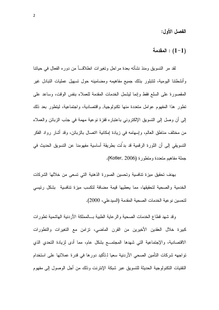الفصل الأول:

#### المقدمة:  $(1-1)$

لقد مر النسويق ومنذ نشأته بعدة مراحل ونغيرات انطلاقـــاً من دوره الفعال فـي حياننـا وأنشطتنا اليومية، لنتنلور بذلك جميع مفاهيمه ومضامينه حول تسهيل عمليات الننبادل غير المقصورة على السلع فقط وإنما ليشمل الخدمات المقدمة للعملاء بنفس الوقت، وساعد على تطور هذا المفهوم عوامل متعددة منها نكنولوجية, واقتصادية، واجتماعية، ليتطور بعد ذلك إلى أن وصل إلى النسويق الإلكتروني باعتباره قفزة نوعية مهمة في جذب الزبائن والعملاء من مختلف مناطق العالم، وإسهامه في زيادة إمكانية اانصال بالزبائن، وقد أشار رواد الفكر النسويقي إلى أن الثور ة الرقمية قد بدلت بطريقة أساسية مفهومنا عن النسويق الحديث في جملة مفاهيم متعددة ومنطورة (Kotler, 2006).

بهدف تحقيق ميزة نتافسية وتحسين الصورة الذهنية التي تسعى من خلالها الشركات الخدمية والصحية لتحقيقها، مما يعطيها قيمة مضافة لتكسب ميزة تنافسية بشكل رئيسي لتحسين نوعية الخدمات الصحية المقدمة (السيدعلي، 2000).

وقد شهد قطاع الخدمات الصحية والرعاية الطبية بـــالمملكة الأردنية الهاشمية تطورات كبيرة خلال العقدين الأخيرين من القرن الماضـي، نزلمن مـع النغيرات والنطورات الاقتصادية، والإجتماعية التي شهدها المجتمــع بشكل عام، مما أدى لزيادة التحدي الذي تواجهه شركات التأمين الصحى الأردنية سعيا لـتأكيد دورها في قدرة عملائها على استخدام التقنيات التكنولوجية الحديثة للتسويق عبر شبكة الإنترنت وذلك من أجل الوصول إلى مفهوم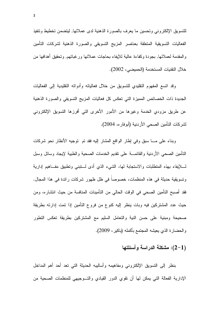للتسويق الإلكتروني وتحسين ما يعرف بالصورة الذهنية لدى عملائها, ليتضمن تخطيط وتتفيذ الفعاليات التسويقية المتعلقة بعناصر المزيج التسويقي والصورة الذهنية لشركات التأمين والمقدمة لعملائها, بجودة وكفاءة عالية للإيفاء بحاجات عملائها ورغباتهم, وتحقيق أهدافها من خلال التقنيات المستخدمة (الحميضي، 2002).

وقد انسع المفهوم النقليدي للتسويق من خلال فعالياته وأدواته النقليدية إلى الفعاليات الجديدة ذات الخصائص المميزة التي تعكس كل فعاليات المزيج التسويقي والصورة الذهنية عن طريق مزودي الخدمة وغيرها من الأمور الأخرى التي أفرزها التسويق الإلكتروني لشركات التأمين الصحي الأردنية (أبو فار ء، 2004).

وبناء على مـــا سبق وفي إطار الواقع المشار إليه فقد تم توجيه الأنظار نحو شركات التأمين الصحى الأردنية والقائمـــة على نقديم الخدمات الصحية والطبية لإيجاد وسائل وسبل لــــلإيفاء بهذه المنطلبات والاستجابة لمها، الشيء الذي أدى لــــتبني ونطبيق مفـــاهيم إدارية وتسويقية حديثة في هذه المنظمات، خصوصاً في ظل ظهور شركات رائدة في هذا المجال. فقد أصبح التأمين الصحى في الوقت الحالي من التأمينات المنافسة من حيث انتشاره، ومن حيث عدد المشتركين فيه وبات ينظر إليه كنوع من فروع التأمين إذا تمت إدارته بطريقة صحيحة ومبنية على حسن النية والتعامل السليم مع المشتركين بطريقة تعكس التطور والحضارة الذي يعيشه المجتمع بأكمله (باكير ، 2009).

## (1–2): مشكلة الدراسة وأسئلتها

بنظر إلى النسويق الإلكتروني ومفاهيمه وأساليبه الحديثة التي تعد أحد أهم المداخل الإدارية الفعالة التي يمكن لمها أن نقوي الدور القيادي والتسوجيهي للمنظمات الصحية من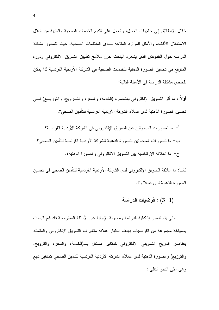خلال الانطلاق إلى حاجيات العميل، والعمل على نقديم الخدمات الصحية والطبية من خلال الاستغلال الأكفء والأمثل للموارد المتاحة لــدى المنظمات الصحية، حيث تتمحور مشكلة الدراسة حول الغموض الذي يشعره الباحث حول ملامح نطبيق التسويق الإلكتروني ودوره المتوقع في تحسين الصورة الذهنية للخدمات الصحية في الشركة الأردنية الفرنسية لذا يمكن تلخيص مشكلة الدر اسة في الأسئلة التالية:

أولًا : ما أثَّر النَّسويقِ الإلكترونـي بعناصره (الخدمة، والسعر، والتــــرويج، والنَّوزيــــع) فــــي تحسين الصور ة الذهنية لدى عملاء الشركة الأر دنية الفر نسية للتأمين الصحى؟.

أ– ما تصور ات المبحوثين عن التسويق الإلكتروني في الشركة الأردنية الفرنسية؟. ب– ما تصور ات المبحوثين للصورة الذهنية للشركة الأردنية الفرنسية للتأمين الصحي؟. ج– ما العلاقة الإرتباطية بين التسويق الالكتروني والصورة الذهنية؟.

ثانياً: ما علاقة التسويق الإلكتروني لدى الشركة الأردنية الفرنسية للتأمين الصحي في تحسين الصورة الذهنية لدى عملائها؟.

## (1–3) : فرضيات الدراسة

حتى يتم تفسير إشكالية الدراسة ومحاولة الإجابة عن الأسئلة المطروحة فقد قام الباحث بصباغة مجموعة من الفرضيات بهدف اختبار علاقة متغيرات التسويق الإلكتروني والمتمثله بعناصر المزيج التسويقي الإلكتروني كمتغير مستقل بـــ(الخدمة، والسعر، والترويج، والتوزيع) والصورة الذهنية لدى عملاء الشركة الأردنية الفرنسية للتأمين الصحى كمتغير نابع وهي على النحو التالي :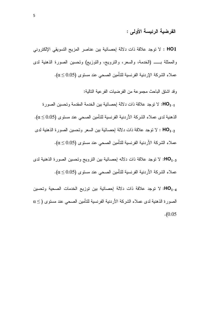## الفرضية الرئيسة الأولى :

HO1 : لا توجد علاقة ذات دلالة إحصائية بين عناصر المزيج التسويقي الإلكتروني عملاء الشركة الإردنية الفرنسية للتأمين الصحى عند مستوى (0.05≥0).

وقد اشتق الباحث مجموعة من الفر ضيات الفر عية التالية:

HO1-1: لا توجد علاقة ذات دلالة إحصائية بين الخدمة المقدمة وتحسين الصورة الذهنية لدى عملاء الشركة الأردنية الفرنسية للتأمين الصحي عند مستوى (0.05≥ 0). لا توجد علاقة ذات دلالة إحصائية بين السعر وتحسين الصورة الذهنية لدى : 10 نوجد علاقة ذات عملاء الشركة الأردنية الفرنسية للتأمين الصحي عند مستوى (0.05 $\alpha \leq 0.05$ ).

HO<sub>1-3</sub>: لا توجد علاقة ذات دلاله إحصائية بين الترويج وتحسين الصورة الذهنية لدى عملاء الشركة الأردنية الفرنسية للتأمين الصحى عند مستوى (0.05≥ 0.).

HO1-4: لا توجد علاقة ذات دلالة إحصائية بين توزيع الخدمات الصحية وتحسين  $\alpha \leq 0$  الصور ة الذهنية لدى عملاء الشركة الأردنية الفرنسية للتأمين الصحى عند مستوى  $(0.05)$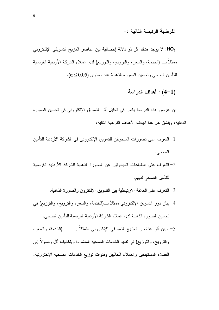الفرضية الرئيسة الثانية :–

HO2: لا يوجد هناك أثر ذو دلالة إحصائية بين عناصر المزيج التسويقي الإلكتروني ممثلاً بــــ (الخدمة، والسعر، والترويج، والتوزيع) لدى عملاء الشركة الأردنية الفرنسية  $\cdot (\alpha \leq 0.05)$  للتأمين الصدرة الذهنية عند مستوى (0.05 $\alpha \leq$ 

: أهداف الدراسة

إن غرض هذه الدراسة يكمن في تحليل أثر التسويق الإلكتروني في تحسين الصورة الذهنية، وينشق عن هذا الهدف الأهداف الفر عية التالية:

- 1– النعرف على نصورات المبحوثين للتسويق الإلكتروني في الشركة الأردنية للتأمين الصحى.
- 2– التعرف على انطباعات المبحوثين عن الصورة الذهنية للشركة الأردنية الفرنسية للتأمين الصحي لديهم.
	- 3– النعرف على العلاقة الارتباطية بين النسويق الإلكترون والصورة الذهنية.
- 4–بيان دور التسويق الإلكتروني ممثلاً بـــ(الخدمة، والسعر، والترويج، والتوزيع) في تحسين الصورة الذهنية لدى عملاء الشركة الأردنية الفرنسية للتأمين الصحى.
- والنرويج، والنوزيع) في نقديم الخدمات الصحية المنشودة وبتكاليف أقل وصولاً إلى العملاء المستهدفين والعملاء الحالبين وقنوات توزيع الخدمات الصحية الإلكترونية،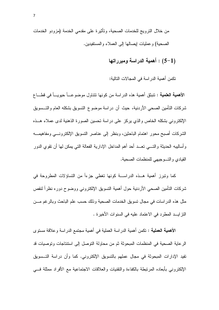من خلال النزويج للخدمات الصحية، وتأثيرة على مقدمي الخدمة (مزودو الخدمات الصحية) وعمليات ليصالها إلى العملاء والمستفيدين.

## (1-5) : أهمية الدراسة ومبرراتها

تكمن أهمية الدراسة في المجالات التالية:

**الأهمية العلمية :** تتبثق أهمية هذه الدر اسة من كونها تتتاول موضوعـــاً حيويـــاً في قطــــاع شركات التأمين الصحى الأردنية، حيث أن دراسة موضوع التسويق بشكله العام والتــسويق الإلكتروني بشكله الخاص والذي يركز على دراسة تحسين الصورة الذهنية لدى عملاء هــذه الشركات أصبح محور اهتمام الباحثين، وبنظر إلى عناصر النسويق الإلكترونـــي ومفاهيمـــه و أساليبه الحديثة و التــــي تعـــد أحد أهم المداخل الإدارية الفعالة التي يمكن لمها أن نقوى الدور القيادي والتسوجيهي للمنظمات الصحية.

كما ونبرز أهمية هــذه الدراســـة كونها تغطي جزءاً من النساؤلات المطروحة في شركات النأمين الصحى الأردنية حول أهمية التسويق الإلكتروني ووضوح دوره نظراً لنقص مثل هذه الدراسات في مجال تسويق الخدمات الصحية وذلك حسب علم الباحث وبالرغم مـــن النزايـــد المطرد في الاعتماد عليه في السنوات الأخيرة .

الأهمية العملية : تكمن أهمية الدراسة العملية في أهمية مجتمع الدراسة وعلاقة مستوى الرعاية الصحية في المنظمات المبحوثة ثم من محاولة التوصل إلى استتتاجات وتوصيات قد تفيد الإدارات المبحوثة في مجال عملهم بالتسويق الإلكتروني. كما وأن دراسة التــسويق الإلكتروني بأبعاده المرتبطة بالكفاءة والنقنيات والعلاقات الاجتماعية مع الأفراد ممثلة فسي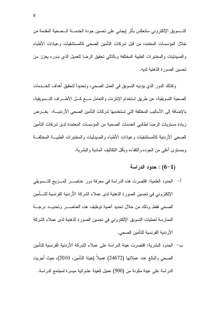التـــسويق الإلكتروني ستنعكس بأثر إيجابي على تحسين جودة الخدمــــة الـــصـحية المقدمة من خلال المؤسسات المعتمده من قبل شركات التأمين الصحى كالمستشفيات وعيادات الأطباء والصبدليات والمختبرات الطبية المختلفة وبالتالي تحقيق الرضا للعميل الذي بدوره يعزز من تحسين الصورة الذهنية لديه.

وكذلك الدور الذي يؤديه التسويق في العمل الصحي، وتحديداً لتحقيق أهداف الخـــدمات الصحية التسويقية، عن طريق استخدام الإنترنت والتعامل مـــع كـــل الأطـــراف التـــسويقية، بالإضافة إلى الأساليب المختلفة التي تستخدمها شركات التأمين الصحى الأردنيــــة، بغــــرض زيادة مستويات الرضا لطالبي الخدمات الصحية من المؤسسات المعتمدة لدى شركات التأمين الصحى الأردنية كالمستشفيات وعيادات الأطباء والصيدليات والمختبرات الطبيسة المختلفة وبمستوى أعلى من الجوده والكفاءه وبأقل النكاليف المادية والبشرية.

#### حدود الدراسة : (6–1)

- أ– الحدود العلمية: اقتصرت هذه الدراسة في معرفة دور عناصــــر المــــزيج التــــسويقي الإلكتروني في تحسين الصورة الذهنية لدى عملاء الشركة الأردنية الفرنسية للتـــأمين الصحي فقط, وذلك من خلال تحديد أهمية توظيف هذه العناصــــر وتحديـــد درجــــة الممارسة لعمليات النسويق الإلكتروني في تحسين الصورة الذهنية لدى عملاء الشركة الأر دنية الفر نسية للتأمين الصحي.
- ب— الحدود البشرية: اقتصرت عينة الدراسة على عملاء الشركة الأردنية الفرنسية للتأمين الصحَّى والبالغ عدد عملائها (24672) عميلاً (هيئة التأمين، 2010)، حيث أجريت الدراسة على عينة مكونة من (500) عميل كعينة عشوائية ميسرة لمجتمع الدراسة.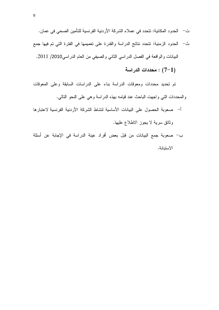- تم تحديد محددات ومعوقات الدراسة بناء على الدراسات السابقة وعلى المعوقات والمحددات النبي واجهت الباحث عند قيامه بهذه الدراسة وهي على النحو النالبي.
- أ– صعوبة الحصول على البيانات الأساسية لنشاط الشركة الأردنية الفرنسية لاعتبارها وثائق سرية لا يجوز الاطلاع عليها.
- ب– صعوبة جمع البيانات من قبل بعض أفراد عينة الدراسة في الإجابة عن أسئلة الاستبانة.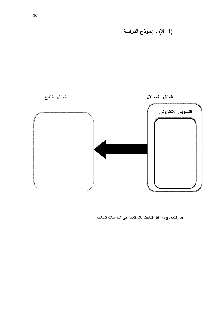

هذا النموذج من قبل الباحث بالاعتماد على الدراسات السابقة.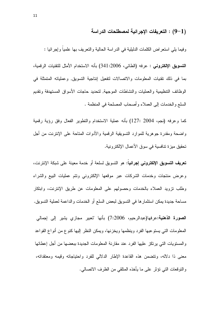(1–9) : التعريفات الإجرائية لمصطلحات الدراسة

وفيما يلِّي استعرَّاض الكلَّمات الدُّليليَّة في الدرَّاسة الحالية والتَّعريف بها علميا وإجرائيا :

ا**لتسويق الإلكتروني :** عرفه (الطائي، 2006:341) بأنه الاستخدام الأمثل للتقنيات الرفمية، بما في ذلك تقنيات المعلومات والاتصالات لتفعيل إنتاجية التسويق, وعملياته المتمثلة في الوظائف التنظيمية والعمليات والنشاطات الموجهة, لتحديد حاجات الأسواق المستهدفة ونقديم السلع والخدمات إلى العملاء وأصحاب المصلحة في المنظمة .

كما وعرفه (نجم، 2004 :127) بأنه عملية الاستخدام والتطوير الفعال وفق رؤية رقمية واضحة ومقدرة جوهرية للموارد التسويقية الرقمية والأدوات المتاحة على الإنترنت من أجل تحقيق ميزة تنافسية في سوق الأعمال الإلكترونية.

**تعريف التسويق الإلكتروني إجرائيا:** هو التسويق لسلعة أو خدمة معينة على شبكة الإنترنت، وعرض منتجات وخدمات الشركات عبر موقعها الإلكتروني ونتم عمليات البيع والشراء وطلب نزويد العملاء بالخدمات وحصولهم على المعلومات عن طريق الإنترنت، وابتكار مساحة جديدة يمكن استثمار ها في التسويق لبعض السلع أو الخدمات والداعمة لعملية التسويق.

**الصورة الذهنية**:عرفها(عبدالرحيم، 7:2006) بأنها "تعبير مجازي يشير إلى إجمالي المعلومات التي يستوعبها الفرد وينظمها ويخزنها، ويمكن النظر إليها كنوع من أنواع القواعد والمستويات التي يرتكز عليها الفرد عند مقارنة المعلومات الجديدة ببعضها من أجل إعطائها معنى ذا دلاله، وتتضمن هذه القاعدة الإطار الدلالي للفرد واحتياجاته وقيمه ومعتقداته، والنوفعات النبي نؤثر على ما بِأخذه المنلقي من الظرف الانصالي.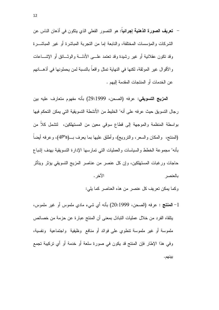– **تعريف الصورة الذهنية إجرائياً:** هو التصور الفعلي الذي يتكون في أذهان الناس عن الشركات والمؤسسات المختلفة، والنابعة إما من النجربة المباشرة أو غير المباشــــرة وقد نكون عقلانية أو غير رشيدة وقد نعتمد علـــي الأدلــــة والوثـــائق أو الإشــــاعات والأقوال غير الموثقة، لكنها في النهاية تمثل واقعاً بالنسبة لمن يحملونها في أذهـــانهم عن الخدمات أو المنتجات المقدمة إليهم .

ا**لمزيج التسويقي**: عرفه (الصحن، 1999:1999) بأنه مفهوم متعارف عليه بين رجال التسويق حيث عرفه على أنه" الخليط من الأنشطة التسويقية التي يمكن التحكم فيها بواسطة المنظمة والموجهة إلى قطاع سوقى معين من المستهلكين، لتشمل كلاً من (المنتج، والمكان والسعر، والنزويج)، وأطلق عليها بما يعرف بـــ(4P's)، وعرفه أيضاً بأنه" مجموعة الخطط والسياسات والعمليات التبي تمارسها الإدارة التسويقية بهدف إشباع حاجات ورغبات المستهلكين، وإن كل عنصر من عناصر المزيج التسويقي يؤثر ويتأثر الآخر . بالعنصر

وكما بمكن نعريف كل عنصر من هذه العناصر كما يلي:

1– المفتج : عرفه (الصحن، 1999:20) بأنه أي شيء مادي ملموس أو غير ملموس، يتلقاه الفرد من خلال عمليات النبادل بمعنى أن المنتج عبارة عن حزمة من خصائص ملموسة أو غير ملموسة نتطوي على فوائد أو منافع وظيفية واجتماعية ونفسية، وفي هذا الإطار فإن المنتج قد يكون في صورة سلعة أو خدمة أو أي تركيبة تجمع بينهم.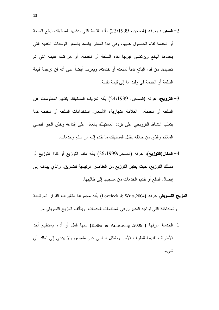- 2– السعر : يعرفه (الصحن، 22:1999) بأنه القيمة التي يدفعها المستهلك لبائع السلعة أو الخدمة لقاء الحصول عليها، وفي هذا المعنى بقصد بالسعر الوحدات النقدية التي يحددها البائع ويرتضيي قبولها لقاء السلعة أو الخدمة، أو هو نلك القيمة التي تم تحديدها من قبل البائع ثمناً لسلعته أو خدمته، ويعرف أيضاً على أنه فن ترجمة قيمة السلعة أو الخدمة في وقت ما إلى قيمة نقدية.
- 3– الترويج: عرفه (الصحن، 1999:24) بأنه تعريف المستهلك بتقديم المعلومات عن السلعة أو الخدمة، العلامة التجارية، الأسعار، استخدامات السلعة أو الخدمة كما يتغلب النشاط النرويجي على نردد المستهلك بالعمل على إقناعه وخلق الجو النفسى الملائم والذي من خلاله ينقبل المستهلك ما يقدم إليه من سلع وخدمات.
- 4– العكان(التوزيع): عرفه (الصحن،26:1999) بأنه منفذ التوزيع أو قناة التوزيع أو مسلك النوزيع، حيث يعتبر التوزيع من العناصر الرئيسية للتسويق، والذي يهدف إلى إيصـال السلـع أو نقديم الـخدمات من منتجيها إلـى طـالبيها.
- المزيج التسويقي عرفه (Lovelock & Writs,2004) بأنه مجموعة متغير ات القرار المرتبطة والمتداخلة التي تواجه المديرين في المنظمات الخدمات ويتألف المزيج التسويقي من
- 1– الخدمة عرفها ( 2006, Kotler & Armstrong) بأنها فعل أو أداء يستطيع أحد الأطراف نقديمة للطرف الأخر وبشكل اساسى غير ملموس ولا يؤدي إلى نملك أي شىء.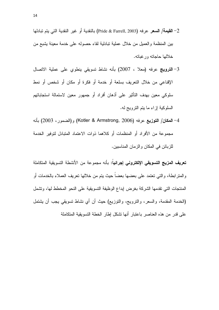- 2– القيمة/ السعر عرفه (Pride & Farrell, 2003) بالنقدية أو غير النقدية التي يتم تبادلها بين المنظمة والعميل من خلال عملية نبادلية لقاء حصوله على خدمة معينة يشبع من خلالها حاجانه ور غبانه.
- 3– **الترويج** عرفه (معلا ، 2007) بأنه نشاط نسويقى ينطوي على عملية الاتصال الإقناعي من خلال التعريف بسلعة أو خدمة أو فكرة أو مكان أو شخص أو نمط سلوكي معين بهدف التأثير على أذهان أفراد أو جمهور معين لاستمالة استجاباتهم السلوكية إزاء ما يتم الترويج له.
- 4– العكان/ التوزيع عرفه (Kotler & Armstrong, 2006) و(الضمور، 2003) بأنه مجموعة من الأفراد أو المنظمات أو كلاهما ذوات الاعتماد المتبادل لتوفير الخدمة للزبائن في المكان والزمان المناسبين.

**تعريف المزيج التسويقي الإلكتروني إجر**ائ**يا:** بأنه مجموعة من الأنشطة التسويقية المتكاملة والمنز ابطة، والتبي نعتمد على بعضها بعضا حيث يتم من خلالها نعريف العملاء بالخدمات أو المنتجات التي تقدمها الشركة بغرض إبداع الوظيفة التسويقية على النحو المخطط لها، وتشمل (الخدمة المقدمة، والسعر، والترويج، والتوزيع) حيث أن أي نشاط نسويقي يجب أن يشتمل على قدر من هذه العناصر باعتبار أنها تشكل إطار الخطة التسويقية المتكاملة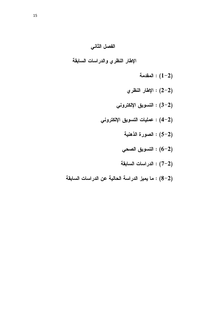## الفصل الثاني

الإطار النظري والدراسات السابقة

- المقدمة  $(1\hbox{--}2)$
- لإطار النظري :  $(2-2)$
- التسويق الإلكترون*ي* (3-2)
- (2–4) : عمليات التسويق الإلكتروني
	- الصورة الذهنية : (5–2)
	- التسويق الصح*ي* : (6–2)
	- الدر اسات السابقة : (7 $\left( 7\textrm{--}2\right)$
- (2–8) : ما يميز الدراسة الحالية عن الدراسات السابقة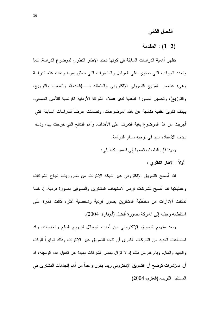الفصل الثاني

#### المقدمة:  $(1-2)$

تظهر أهمية الدراسات السابقة في كونها تحدد الإطار النظري لموضوع الدراسة، كما ونحدد الجوانب الني نحنوي على العوامل والمتغيرات التي نتعلق بموضوعات هذه الدراسة وهي: عناصر المزيج التسويقي الإلكتروني والمنمثله بــــــ(الخدمة، والسعر، والترويج، والتوزيع)، وتحسين الصورة الذهنية لدى عملاء الشركة الأردنية الفرنسية للتأمين الصحى، بـهدف نكوين خلفية مناسبة عن هذه الموضوعات، وتضمنت عرضاً للدر اسات السابقة التي أجريت عن هذا الموضوع بغية التعرف على الأهداف, وأهم النتائج التي خرجت بها، وذلك بهدف الاستفادة منها في توجيه مسار الدراسة.

وبهذا فإن الباحث، قسمها إلى قسمين كما يلي:

أولا : الإطار النظرى :

لقد أصبح التسويق الإلكتروني عبر شبكة الإنترنت من ضروريات نجاح الشركات وعملياتها فقد أصبح للشركات فرص لاستهداف المشترين والمسوقين بصورة فردية، إذ كلما تمكنت الإدارات من مخاطبة المشترين بصور فردية وشخصية أكثر، كانت قادرة على استقطابه وجذبه إلى الشركة بصورة أفضل (أبوفارة، 2004).

ويعد مفهوم التسويق الإلكتروني من أحدث الوسائل لترويج السلع والخدمات، وقد استطاعت العديد من الشركات الكبر ي أن نتجه للتسويق عبر الإنترنت وذلك توفيرا للوقت والجهد والمال, وبالرغم من ذلك إذ لا نزال بعض الشركات بعيدة عن تفعيل هذه الوسيلة، اذ أن المؤشرات نوضح أن النسويق الإلكتروني ربما يكون واحداً من أهم إنجاهات المشترين في المستقبل القريب.(العتوم، 2004)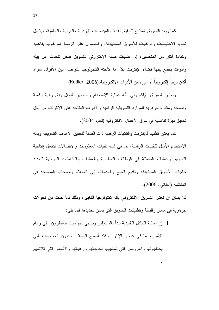كما ويعد التسويق المفتاح لتحقيق أهداف المؤسسات الأردنية والعربية والعالمية، ويشمل تحديد الاحتياجات والرغبات للأسواق المستهدفة، والحصول على الرضا المرغوب بفاعلية وكفاءة أكثر من المنافسين، إذا أضيفت صفة الإلكتروني للتسويق فنحن نتحدث عن بيئة وأدوات يجمع بينها فضاء الإنترنت بكل ما أتاحته التكنولوجيا للتواصل بين الأفراد، سواء أكان بريدا اِلكترونيا أم غير ِه من الأدوات الإلكترونية.(Kottler, 2006)

ويعتبر التسويق الإلكتروني بأنه عملية الاستخدام والتطوير الفعال وفق رؤية رقمية واضحة ومقدرة جوهرية للموارد النسويقية الرقمية والأدوات المناحة على الإنترنت من أجل تحقيق ميزة تنافسية في سوق الأعمال الإلكترونية (نجم، 2004).

كما يعتبر تطبيقاً للإنترنت والتقنيات الرقمية ذات الصلة لتحقيق الأهداف التسويقية وبأنه الاستخدام الأمثل للتقنيات الرقمية، بما في ذلك تقنيات المعلومات والاتصالات لتفعيل إنتاجية التسويق وعملياته المتمثلة في الوظائف التنظيمية والعمليات والنشاطات الموجهة لتحديد حاجات الأسواق المستهدفة ونقديم السلع والخدمات إلى العملاء وأصحاب المصلحة في المنظمة (الطائي، 2006).

لذا يمكن أن نعتبر التسويق الإلكتروني بأنه تكنولوجيا التغيير، وذلك لما حدث من تحولات جوهرية في مسار وفلسفة ونطبيقات النسويق التي يمكن تحديدها فيما يلي:

1. اِن عملية النبادل النقليدية نبدأ بالمسوقين ونتنهى بهم حيث يسيطرون على زمام الأمور، أما في عصر الإنترنت فقد أصبح العملاء بحددون المعلومات التي يحتاجونها والعروض التبي تستجيب لحاجاتهم ورغباتهم والأسعار التبي تلائمهم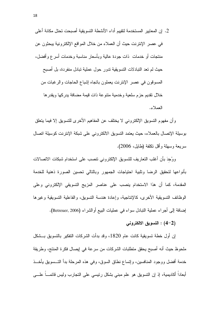2. إن المعايير المستخدمة لتقييم أداء الأنشطة التسويقية أصبحت تحتل مكانة أعلى في عصر الإنترنت حيث أن العملاء من خلال المواقع الإلكترونية يبحثون عن منتجات أو خدمات ذات جو دة عالية و بأسعار مناسبة و خدمات أسر ع و أفضل، حيث لم تعد التبادلات التسويقية تدور حول عملية تبادل منفردة، بل أصبح المسوقون في عصر الإنترنت يعملون باتجاه إشباع الحاجات والرغبات من خلال نقديم حز م سلعية و خدمية منتو عة ذات قيمة مضافة يدر كها ويقدر ها العملاء.

وأن مفهوم التسويق الإلكتروني لا يختلف عن المفاهيم الأخرى للتسويق إلا فيما يتعلق بوسيلة الإتصال بالعملاء، حيث يعتمد التسويق الالكتروني على شبكة الإنترنت كوسيلة اتصال سربعة وسهلة وأقل نكلفة (طايل، 2006).

ووُجِدَ بِأَنِ أَغلبِ النِّعارِيفِ للنِّسويقِ الإلكتروني نتصب على استخدام شبكات الاتصالات بأنواعها لتحقيق الرضا ونلبية احتياجات الجمهور وبالنالى نحسين الصورة ذهنية للخدمة المقدمة، كما أن هذا الاستخدام ينصب على عناصر المزيج التسويقي الإلكتروني وعلى الوظائف التسويقية الأخرى، كالإنتاجية، وإعادة هندسة التسويق، والفاعلية التسويقية وغيرها إضافة إلى أجراء عملية التبادل سواء في عمليات البيع أوالشراء (Betreuer, 2006).

#### (2–4) : التسويق الالكتروني

إن أول خطة تسويقية كانت عام 1820، وقد بدأت الشركات التفكير بالتسويق بـــشكل ملحوظ حيث أنه أصبح يحقق متطلبات الشركات من سرعة في إيصال فكرة المنتج، وطريقة خدمة أفضل ووجود المنافسين، وإنساع نطاق السوق، وفي هذه المرحلة بدأ التـــسويق يأخـــذ أبعاداً أكاديمية، إذ إن التسويق هو علم مبنى بشكل رئيسي على التجارب وليس قائمـــاً علــــى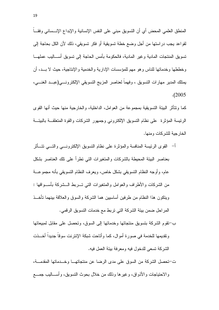المنطق العلمي المحض أي أن التسويق مبنى على النفس الإنسانية والإبداع الإنسساني وفقـــاً لقواعد يجب دراستها من أجل وضع خطة تسويقية أو فكر تسويقي، ذلك لأن الكل بحاجة إلى تسوبق المنتجات المادية و غير المادية، فالحكومة بأمس الحاجة إلى تسويق أســـاليب عملهـــا وخططها وخدماتها للناس وهو مهم للمؤسسات الإدارية والخدمية والإنتاجية، حيث لا بـــد، أن يمثلك المدير مهارات النسويق ، وفهما لعناصر المزيج النسويقي الإلكترونسي(عبــد الغنـــي،  $. (2005$ 

كما ونتأثَّر البيئة النسويقية بمجموعة من العوامل، الداخلية، والخارجية منها حيث أنها القوى الرئيسة المؤثرة على نظام التسويق الإلكتروني وجمهور الشركات والقوة المتعلقــة بالبيئـــة الخار جبة للشر كات ومنها.

أ– القوى الرئيسة المنافسة والمؤثرة على نظام النسويق الإلكترونسي والتسي نتسأثر بعناصر البيئة المحيطة بالشركات والمتغيرات التبي نطرأ على نلك العناصر بشكل عام، وأوجه النظام النسويقي بشكل خاص، ويعرف النظام النسويقي بأنه مجموعـــة من الشركات والأطراف والعوامل والمتغيرات التي تـــربط الـــشركة بأســـواقها : وينكون هذا النظام من طرفين أساسيين هما الشركة والسوق والعلاقة ببنهما نأخــذ المراحل ضمن بيئة الشركة التي تربط مع خدمات التسويق الرقمي.

ب—تقوم الشركة بتسويق منتجاتها وخدماتها إلى السوق، وتحصل على مقابل لمبيعاتها وتقديمها للخدمة في صورة أموال، كما وأتاحت شبكة الإنترنت سوقاً جديداً أخــذت الشركة تسعى للدخول فبه ومعرفة ببئة العمل فبه.

ت–تحصل الشركة من السوق على مدى الرضا عن منتجاتهـــا وخـــدماتها المقدمـــة، والاحتياجات والأذواق، وغيرها وذلك من خلال بحوث التسويق، وأســـاليب جمــــع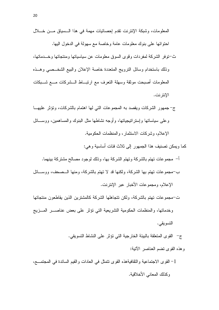- ث–توفر الشركة لمفردات وقوى السوق معلومات عن سياسياتها ومنتجاتها وخـــدماتها، وذلك باستخدام وسائل النزويج المتعددة خاصة الإعلان والبيع الشخــصـي وهــذه المعلومات أصبحت موثقة وسهلة النعرف مع ارتبساط السشركات مسع شسبكات الإنتر نت.
- ج– جمهور الشركات ويقصد به المجموعات التبي لمها اهتمام بالشركات، ونؤثر عليهـــا وعلى سياساتها وإستراتيجياتها، وأوجه نشاطها مثل البنوك والمساهمين، ووســـائل الإعلام، وشركات الاستثمار، والمنظمات الحكومية.

كما ويمكن نصنيف هذا الجمهور إلى ثلاث فئات أساسية وهي:

- أ– مجموعات نهتم بالشركة وتهتم الشركة بها، وذلك لوجود مصالح مشتركة بينهما. ب-مجموعات نهتم بها الشركة، ولكنها قد لا تهتم بالشركة، ومنها الــصحف، ووســائل الإعلام، ومجموعات الأخبار عبر الإنترنت.
- ت–مجموعات تهتم بالشركة، ولكن تتجاهلها الشركة كالمشترين الذين بقاطعون منتجاتها وخدماتها، والمنظمات الحكومية النشريعية النبي نؤثر على بعض عناصـــر المـــزيج التسويقي.
	- ج– القوى المتعلقة بالبيئة الخارجية التي تؤثر على النشاط التسويقي.
		- وهذه القوى تضم العناصر الأتية:

1– القوى الاجتماعية والثقافيةهذه القوى نتمثل في العادات والقيم السائدة في المجتمــع، وكذلك المعاني الأخلاقية.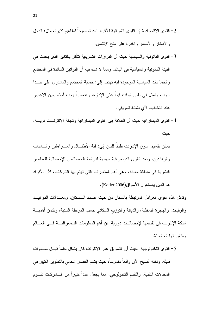- 2– القوى الاقتصادية إن القوى الشرائية للأفراد تعد توضيحاً لمفاهيم كثيرة، مثل: الدخل والأدخار والأسعار والقدرة على منح الإئتمان.
- 3– القوى القانونية والسياسية حيث أن القرارات التسويقية تتأثر بالتغير الذي يحدث في البيئة القانونية والسياسية في البلاد، ومما لا شك فيه أن القوانين السائدة في المجتمع و الجماعات السياسية الموجودة فيه تهدف إلى: حماية المجتمع والمشتر ي على حـــدا سواء، وتمثَّل في نفس الوقت قيدا على الإدار ة، و عنصر ا يجب أخذه بعين الاعتبار عند التخطيط لأى نشاط تسويقي.
- 4– القوى الديمغر افية حيث أن العلاقة بين القوى الديمغر افية وشبكة الإنترنست قويسة، حبث

يمكن نقسيم سوق الإنترنت طبقاً للسن إلى: فئة الأطفــال والمــــراهقين والـــشباب والراشدين، وتعد القوى الديمغرافية مهمهة لدراسة الخصائص الإحصائية للعناصر البشرية في منطقة معينة، وهي أهم المتغيرات التي تهتم بها الشركات، لأن الأفراد هم الذين يصنعون الأسواق(Kotler.2006).

ونَمثل هذه القوى العوامل المرتبطة بالسكان من حيث عـــدد الـــسكان، ومعـــدلات المواليـــد والوفيات، والـهجرة الداخلية، والديانة والنوزيع السكانـي حسب المرحلة السنية، ونكمن أهميـــة شبكة الإنترنت في تقديمها لإحصائيات دورية عن أهم المعلومات الديمغر افيسة فسي العسالم ومتغبر اتها الحاصلة.

5– القوى التكنولوجية حيث أن التسويق عبر الإنترنت كان يشكل حلماً قبـــل ســـنوات قليلة، ولكنه أصبح الآن واقعا ملموسا، حيث يتسم العصر الحالي بالنطوير الكبير في المجالات النقنية، والنقدم النكنولوجي، مما يجعل عدداً كبيراً من الـــشركات نقـــوم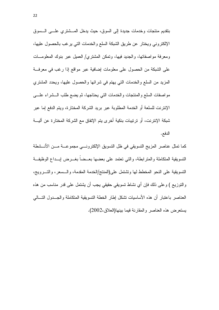بتقديم منتجات وخدمات جديدة إلى السوق، حيث يدخل المسشتري علسى السسوق الإلكتروني ويختار عن طريق الشبكة السلع والخدمات التي يرغب بالحصول عليها، ومعرفة مواصفاتها، والجديد فيها، ونمكن المشترى/ العميل عبر بنوك المعلومـــات على الشبكة من الحصول على معلومات إضافية عبر مواقع إذا رغب في معرفة المزيد من السلع والخدمات التبي يهتم في شرائها والحصول عليها، ويحدد المشتري مواصفات السلع والمنتجات والخدمات التي يحتاجها، ثم يضع طلب الـــشراء علــــي الإنترنت للسلعة أو الخدمة المطلوبة عبر بريد الشركة المختارة، ويتم الدفع إما عبر شبكة الإنترنت، أو ترتيبات بنكية أخرى يتم الإتفاق مع الشركة المختارة عن آليـــة الدفع.

كما تمثِّل عناصر المزيج التسويقي في ظل التسويق الإلكترونسي مجموعـــة مـــن الأنـــشطة التسويقية المتكاملة والمنز ابطة، والتي تعتمد على بعضها بعــضا بغـــرض إبـــداع الوظيفــة النسويقية على النحو المخطط لها ونتنتمل على(المنتج/الخدمة المقدمة، والسسعر، والتسرويج، والتوزيع ) وعلى ذلك فإن أي نشاط نسويقي حقيقي يجب أن يشتمل على قدر مناسب من هذه العناصر باعتبار أن هذه الأساسيات تشكل إطار الخطة النسويقية المتكاملة والجسدول التسالبي يستعرض هذه العناصر والمقارنة فيما ببنها(العلاق،2002).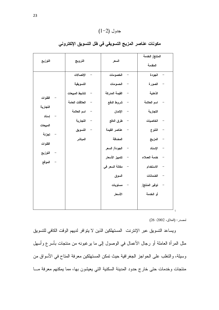|                              |                                            |                                        | المنتج/ الخدمة                     |  |
|------------------------------|--------------------------------------------|----------------------------------------|------------------------------------|--|
| التوزيع                      | الترويج                                    | السعر                                  | المقدمة                            |  |
|                              | الإتصالات<br>$\overline{\phantom{a}}$      | الخصومات<br>$\sim$                     | الجودة<br>$\overline{\phantom{0}}$ |  |
|                              | التسويقية                                  | الحسومات                               | الصورة                             |  |
|                              | تنشيط المبيعات<br>$\overline{\phantom{a}}$ | القيمة المدركة                         | الذهنية                            |  |
| القنوات                      | العلاقات العامة                            | شروط الدفع<br>$\overline{\phantom{a}}$ | – اسم العلامة                      |  |
| التجارية                     | اسم العلامة<br>$\overline{a}$              | الإتمان<br>$\sim$                      | التجارية                           |  |
| إسناد<br>$\sim$              | التجارية<br>$\overline{\phantom{0}}$       | طرق الدفع<br>$\overline{\phantom{a}}$  | – الخاصيات                         |  |
| المبيعات                     | التسويق                                    | عناصر القيمة                           | التنوع                             |  |
| تجزئة                        | المباشر                                    | المضافة                                | المزيج                             |  |
| القنوات                      |                                            | الجودة/ السعر<br>$\sim$                | الإسناد                            |  |
| التوزيع<br>$\qquad \qquad -$ |                                            | تتمييز الأسعار<br>$\overline{a}$       | خدمة العملاء                       |  |
| الموقع                       |                                            | مكانــة السعر فـي                      | الاستخدام                          |  |
|                              |                                            | السوق                                  | الضمانات                           |  |
|                              |                                            |                                        |                                    |  |
|                              |                                            | مستويات                                | – توفير المنتج/                    |  |
|                              |                                            | الأسعار                                | أو الخدمة                          |  |
|                              |                                            |                                        |                                    |  |

مكونات عناصر المزيج التسويقي في ظل التسويق الإلكتروني

لمصدر: (العلاق، 2002: 26)

 $\overline{1}$ 

ويساعد التسويق عبر الإنترنت المستهلكين الذين لا يتوافر لديهم الوقت الكافي للتسويق مثل المرأة العاملة أو رجال الأعمال في الوصول إلى ما يرغبونه من منتجات بأسر ع وأسهل وسيلة، والنغلب على الحواجز الجغرافية حيث تمكن المستهلكين معرفة المتاح في الأسواق من منتجات وخدمات حتى خارج حدود المدينة السكنية التي يعيشون بها، مما يمكنهم معرفة مسا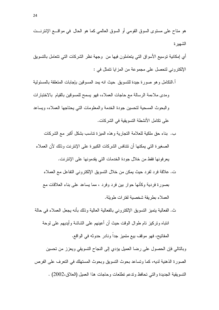أي إمكانية نوسيع الأسواق التبي يتعاملون فيها من ۖ وجهة نظر الشركات التبي نتعامل بالتسويق الإلكتروني لتحصل على مجموعة من المزايا نتمثل في :

- أ النكامل و هو صور ة جيدة للتسويق حيث انه يمد المسوقين بإجابات المتعلقة بالمسئولية ومدى ملاءمة الرسالة مع حاجات العملاء، فهو يسمح للمسوفين بالقيام بالاختبارات والبحوث المسحية لتحسين جودة الخدمة والمعلومات التي يحتاجها العملاء، ويساعد على تكامل الأنشطة التسويقية في الشركات.
	- ب. بناء حق ملكية للعلامة النجارية و هذه الميز ة نتاسب بشكل أكبر ٍ مع الشركات الصغيرة التي يمكنها أن تتتافس الشركات الكبيرة على الإنترنت وذلك لأن العملاء بعر فو نها فقط من خلال جو دة الخدمات التي بقدمو نها على الإنتر نت.
		- ت. علاقة فرد لفرد حيث يمكن من خلال النسويق الإلكتروني النفاعل مع العملاء بصورة فردية وكأنها حوار بين فرد وفرد ، مما يساعد على بناء العلاقات مع العملاء بطر بقة شخصبة لفتر ات طوبلة.
- ث. الفعالية بِتميز النسويق الإلكتروني بالفعالية العالية وذلك بأنه يجعل العملاء في حالة انتباه وتركيز نام طوال الوقت حيث أن أعينهم على الشاشة وأيديهم على لوحة

المفاتيح، فهو موقف بيع متميز جداً ونادر حدوثه في الواقع.

وبالتالي فإن الحصول على رضا العميل يؤدي إلى النجاح التسويقي ويعزز من تحسين الصورة الذهنية لديه، كما ونساعد بحوث النسويق وبحوث المستهلك في النعرف على الفرص التسويقية الجديدة والتي تحافظ وندعم تطلعات وحاجات هذا العميل (العلاق،2002) .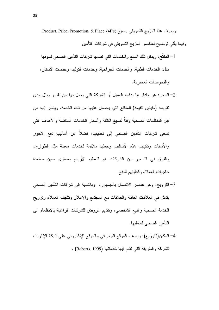ويعرف هذا المزيج النسويقي بصيغ (Ap's) Product, Price, Promotion, & Place وفيما يأتي توضيح لعناصر المزيج التسويقي في شركات التأمين 1– المنتَج: ويمثل نلك السلع والخدمات التي نقدمها شركات التأمين الصحى لسوقها مثل: الخدمات الطبية، والخدمات الجر احية، وخدمات النوليد، وخدمات الأسنان، والفحو صبات المخبر بة.

- 2– السعر: هو مقدار ما يدفعه العميل أو الشركة التبي يعمل بها من نقد و يمثل مدى تقويمه (مقياس للقيمة) للمنافع التي يحصل عليها من نلك الخدمة. وينظر إليه من قبل المنظمات الصحية وفقاً لصيغ الكلفة وأسعار الخدمات المنافسة والأهداف التي تسعى شركات التأمين الصحى إلى تحقيقها، فضلاً عن أساليب دفع الأجور والأمانات وتكييف هذه الأساليب وجعلها ملائمة لخدمات معينة مثل الطوارئ, والفرق في التسعير بين الشركات هو لتعظيم الأرباح بمستوى معين معتمدة حاجيات العملاء وقابليتهم للدفع.
- 3– الترويج: وهو عنصر الاتصال بالجمهور، وبالنسبة إلى شركات التأمين الصحي بنَمثل في العلاقات العامة والعلاقات مع المجتمع والإعلان ونثقيف العملاء ونزويج الخدمة الصحية والبيع الشخصبي، وتقديم عروض للشركات الراغبة بالانظمام البي التأمين الصحى لعامليها.
- 4– المكان(النوزيع): ويصف الموقع الجغرافي والموقع الإلكتروني على شبكة الإنترنت .<br>للشركة والطربقة التي تقدم فيها خدماتها (Roberts, 1999)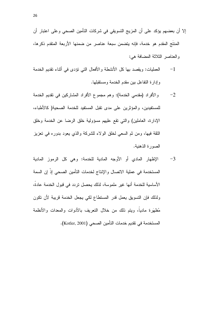- إلا أن بعضهم يؤكد على أن المزيج النسويقي في شركات التأمين الصحي وعلى اعتبار أن المنتَج المقدم هو خدمة، فإنه يتضمن سبعة عناصر من ضمنها الأربعة المتقدم ذكرها، والعناصر الثلاثة المضافة هي:
- العمليات: ويقصد بها كل الأنشطة والأفعال التي نؤدي في أثناء نقديم الخدمة  $-1$ وإدارة النفاعل بين مقدم الخدمة ومستقبلها.
- والأفراد (مقدمي الخدمة): وهم مجموع الأفراد المشاركين في نقديم الخدمة  $-2$ للمستفيدين، والمؤثرين على مدى نقبل المستفيد للخدمة الصحية( كالأطباء، الإدارة، العاملين) والتي نقع عليهم مسؤولية خلق الرضا عن الخدمة وخلق النقة فيها، ومن ثم السعى لخلق الولاء للشركة والذي يعود بدوره في تعزيز الصورة الذهنية.
- الإظهار المادي أو الأوجه المادية للخدمة: وهي كل الرموز المادية  $-3$ المستخدمة في عملية الاتصال والإنتاج لخدمات التأمين الصحى إذٌ إن السمة الأساسية للخدمة أنها غير ملموسة، لذلك يحصل تردد في قبول الخدمة عادةً، ولذلك فإن التسويق يعمل قدر المستطاع لكى يجعل الخدمة قريبة لأن تكون مُظهَرة مادياً، ويتم ذلك من خلال النعريف بالأدوات والمعدات والأنظمة المستخدمة في تقديم خدمات التأمين الصحي (Kotler, 2001).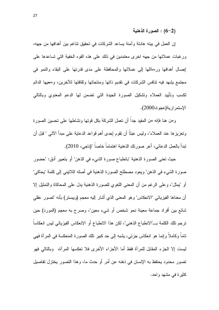#### الصورة الذهنية: (2-6)

إن العمل في بيئه هادئة وأمنة يساعد الشركات في تحقيق نتاغم بين أهدافها من جهه، ورغبات عملائها من جهه اخرى معتمدين في ذلك على هذه القوه الخفية التي تساعدها على إيصـال أهدافها ورسائلها إلىي عملائها والمحافظة علىي مدى قدرتها علىي البقاء والنمو في مجتمع يشهد فيه نتافس الشركات في نقديم ذاتها ومنتجاتها وثقافتها للأخرين، وسعيها الدائم لكسب وتأييد العملاء وتشكيل الصورة الجيدة التي تضمن لمها الدعم المعنوى وبالتالي الإستمر ارية(عجوة،2000).

ومن هنا فإنه من المفيد جداً أن تعمل الشركة بكل قوتها ونشاطها على تحسين الصورة ونعزيزها عند العملاء"، وليس عبثاً أن نقوم إحدى أهم قواعد الدعاية على مبدأ الآتي " قبل أن تبدأ بالعمل الدعائبي، أعر صورتك الذهنية اهتماماً خاصاً "(ناجي، 2010).

حيث تعني الصورة الذهنية "بانطباع صورة الشيء في الذهن" أو بتعبير أدق: "حضور صورة الشيء في الذهن" ويعود مصطلح الصورة الذهنية في أصله اللاتيني إلى كلمة "يحاكي" أو "يمثل"، وعلى الرغم من أن المعنى اللغوي للصورة الذهنية يدل على المحاكاة والنمثيل إلا أن معناها الفيزيائي "الانعكاس" وهو المعنى الذي أشار إليه معجم (ويبستر) بأنه "تصور عقلي شائع بين أفراد جماعة معينة نحو شخص أو شيء معين"، وصرح به معجم (المورد) حين ترجِم تلك الكلمة بـــ"الانطباع الذهني"، لكن هذا الانطباع أو الانعكاس الفيزيائي ليس انعكاساً ناماً وكاملاً وإنما هو انعكاس جزئي، بشبه إلى حد كبير نلك الصورة المنعكسة في المرأة فهي ليست إلا الجزء المقابل للمرآة فقط أما الأجزاء الأخرى فلا تعكسها المرآة، وبالتالي فهو تصور محدود يحتفظ به الإنسان في ذهنه عن أمر أو حدث ما، وهذا التصور يختزل تفاصيل كثيرة في مشهد واحد.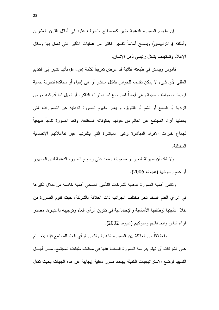إن مفهوم الصورة الذهنية ظهر كمصطلح متعارف عليه في أوائل القرن العشرين وأطلقه (والنزليبمان) ويصلح أساساً لنفسير الكثير من عمليات التأثير التبي تعمل بها وسائل الإعلام وتستهدف بشكل رئيسي ذهن الإنسان.

قاموس ويبستر في طبعته الثانية قد عرض تعريفا لكلمة (Image) بأنها تشير إلى التقديم الْعَقْلَى لأي شَيْءٍ لا يَمِكْنِ نَقْدِيمَهُ لْلْحُواسِ بِشْكَلِ مُبَاشِرٍ أَو هَي إِحْيَاءِ أَو محاكاة لتجربة حسية ارتبطت بعواطف معينة وهي أيضا استرجاع لما اختزنته الذاكرة أو تخيل لما أدركته حواس الرؤية أو السمع أو الشم أو النذوق. و يعبر مفهوم الصورة الذهنية عن النصورات النبي يحملها أفراد المجتمع عن العالم من حولهم بمكوناته المختلفة، وتعد الصورة نتاجاً طبيعياً لجماع خبرات الأفراد المباشرة وغير المباشرة التى يتلقونها عبر تفاعلاتهم الإتصالية المختلفة.

ولا شك أن سهولة النغير أو صعوبته يعتمد على رسوخ الصورة الذهنية لدى الجمهور أو عدم رسوخها (عجوة، 2006).

ونكمن أهمية الصورة الذهنية للشركات النأمين الصحى أهمية خاصة من خلال نأثيرها في الرأى العام السائد نحو مختلف الجوانب ذات العلاقة بالشركة، حيث تقوم الصورة من خلال نأديتها لوظائفها الأساسية والإجتماعية فى نكوين الرأي العام ونوجيهه باعتبارها مصدر أراء الناس وانجاهاتهم وسلوكهم (عليوه، 2002).

و انطلاقا من العلاقة بين الصور ة الذهنية وتكون الر أي العام للمجتمع فإنه يتحـــتم على الشركات أن تهتم بدر اسة الصورة السائدة عنها في مختلف طبقات المجتمع، مـــن أجـــل التمهيد لوضع الإستراتيجيات الكفيلة بإيجاد صور ذهنية إيجابية عن هذه الجهات بحيث تكفل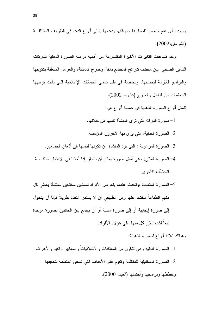ولقد ضاعفت التغيرات الأخيرة المتسارعة من أهمية دراسة الصورة الذهنية لشركات التأمين الصحي بين مختلف شرائح المجتمع داخل وخارج المملكة، والعوامل المتعلقة بتكوينها والبرامج اللأزمة لتحسينها، وبخاصة في ظل نتامي الحملات الإعلامية التي باتت نوجهها المنظمات من الداخل والخارج (عليوه، 2002).

نتمثل أنواع الصورة الذهنية في خمسة أنواع هي:

- 1-صورة المرآة: التي نرى المنشأة نفسها من خلالها.
- 2– الصورة الحالية: التي يرى بها الآخرون المؤسسة.
- 3– الصورة المرغوبة : التي تود المنشأة أ ن تكونها لنفسها في أذهان الجماهير .
- 4– الصور ة المثلي: و هي أمثل صور ة بمكن أن نتحقق إذا أخذنا في الاعتبار منافسية المنشآت الأخر ي.
- لصور ة المتعددة :وتحدث عندما بتعرض الأفر اد لممثلين مختلفين للمنشأة بعطي كل  $\!5$ منهم انطباعاً مختلفاً عنها ومن الطبيعي أن لا يستمر التعدد طويلاً فاما أن يتحول إلى صورة إيجابية أو إلى صورة سلبية أو أن يجمع بين الجانبين بصورة موحدة نبعاً لشدة نأثير كل منها على هؤ لاء الأفر اد.

و هنالك ثلاثة أنواع لصورة الذهبنة: 1. الصورة الذاتية و هي نتكون من المعتقدات والأخلاقياتٌ والمعايير والقيم والأعراف 2. الصورة المستقبلية للمنظمة ونقوم على الأهداف التي نسعى المنظمة لتحقيقها وخططها وبر امجها وأجندتها (العبد، 2000).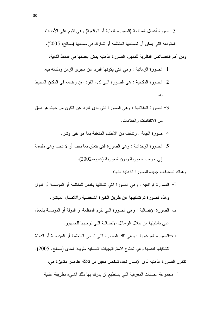وهناك تصنيفات جديدة للصورة الذهنية منها:

أ– الصورة الواقعية : وهي الصورة التي تشكلها بالفعل للمنظمة أو المؤسسة أو الدول وهذه الصورة تم تشكيلها عن طريق الخبرة الشخصية والاتصال المباشر . ب–الصورة الإنصالية : وهي الصورة التي نقوم المنظمة أو الدولة أو المؤسسة بالعمل على تشكيلها من خلال الرسائل الاتصالية التي توجهها للجمهور .

ت–الصورة المرغوبة : وهي نلك الصورة التي تسعى المنظمة أو المؤسسة أو الدولة لتشكيلها لنفسها وهي تحتاج لاستر اتيجيات اتصالية طويلة المدى (صالح، 2005).

تتكون الصورة الذهنية لدى الإنسان تجاه شخص معين من ثلاثة عناصر متميزة هي:

1– مجموعة الصفات المعرفية التي يستطيع أن يدرك بها ذلك الشيء بطريقة عقلية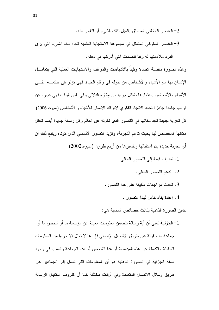2– العنصر العاطفي المنطلق بالميل لذلك الشيء أو النفور منه.

3– العنصر السلوكي المنمثل في مجموعة الاستجابة العلمية تجاه ذلك الشيء التي يرى الفر د ملاءمتها له وفقا للصفات التي أدركها في ذهنه.

وهذه الصورة متصلة اتصالا وثيقاً بالاتجاهات والمواقف والاستجابات العملية التبي يتعامـــل الإنسان بها مع الأشياء والأشخاص من حوله في واقع الحياة، فهي نؤثر في حكمـــه علــــي الأشياء والأشخاص باعتبارها تشكل جزءا من إطاره الدلالي وفي نفس الوقت فهي عبارة عن قوالب جامدة جاهزة تحدد الاتجاه الفكري لإدراك الإنسان للأشياء والأشخاص (عجوة، 2006). كل تجربة جديدة تجد مكانها في التصور الذي نكونه عن العالم وكل رسالة جديدة أيضا تحتل مكانها المخصص لها بحيث ندعم النجربة، ونؤيد النصور الأساسي الذي كوناه ويتبع ذلك أن أي نجربة جديدة بتم استقبالها وتفسير ها من أربع طرق: (عليوه،2002).

- 1. تضيف قيمة إلى التصور الحالي.
	- 2. تدعم التصور الحالي.
- 3. تحدث مر اجعات طفيفة على هذا التصور .
	- 4. إعادة بناء كامل لهذا التصور.

نتميز الصورة الذهنية بثلاث خصائص أساسية هي:

1– ا**لجزئية** تعني أن أية ر سالة تتضمن معلومات معبنة عن مؤسسة ما أو شخص ما أو جماعة ما منقولة عن طريق الاتصال الإنساني فإن ها لا تمثِّل إلا جزءا من المعلومات الشاملة والكاملة عن هذه المؤسسة أو هذا الشخص أو هذه الجماعة والسبب في وجود صفة الجزئية في الصورة الذهنية هو أن المعلومات التي تصل إلى الجماهير عن طريق وسائل الاتصال المتعددة وفي أوقات مختلفة كما أن ظروف استقبال الرسالة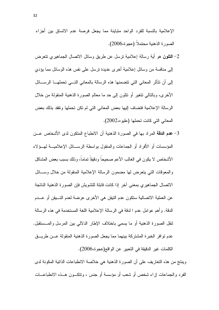- 2– للتلون هو أية رسالة إعلامية نرسل عن طريق وسائل الانصال الجماهيري نتعرض إلى منافسة من وسائل إعلامية أخرى عديدة نرسل على نفس هذه الوسائل مما يؤدي إلى أن نتأثر المعاني التي نتضمنها هذه الرسالة بالمعاني التـــي تحملهـــا الرســــائل الأخرى، وبالتالي نتغير أو نتلون إلى حد ما معالم الصورة الذهنية المنقولة من خلال الرسالة الإعلامية فتضاف إليها بعض المعانبي التبي لم نكن تحملها وتفقد بذلك بعض المعاني التي كانت تحملها (عليوه،2002).
- 3- عدم الدقة المراد بها في الصورة الذهنية أن الانطباع المتكون لدى الأشخاص عــن المؤسسات أو الأفراد أو الجماعات والمنقول بواسطة الرســـائل الإعلاميــــة لـهـــؤلاء الأشخاص لا يكون في الغالب الأعم صحيحا ودقيقا تماما، وذلك بسبب بعض المشاكل والمعوقات التي يتعرض لها مضمون الرسالة الإعلامية المنقولة من خلال وســائل الاتصال الجماهيري بمعنى آخر إذا كانت قابلة للتشويش فإن الصورة الذهنية الناتجة عن العملية الاتصالية ستكون عدم النيقن هي الأخرى عرضة لعدم التسيقن أو عسدم الدقة. وأهم عوامل عدم ا لدقة في الرسالة الإعلامية اللغة المستخدمة في هذه الرسالة لنقل الصورة الذهنية أو ما يسمى باختلاف الإطار الدلالي بين المرسل والمــستقبل. عدم تو افر الخبر ة المشتر كة بينهما مما يجعل الصور ة الذهنية المنقولة عـــن طر يـــق الكلمات غير الدقيقة في التعبير عن الواقع(عجو ة،2006).

وينتج من هذه التعاريف على أن الصورة الذهنية هي خلاصة الانطباعات الذاتية المكونة لدى الفرد والجماعات إزاء شخص أو شعب أو مؤسسة أو جنس ، وتتكــون هــذه الانطباعــات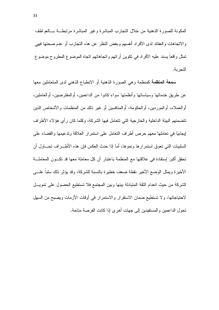المكونة للصورة الذهنية من خلال التجارب المباشرة وغير المباشرة مرتبطة بسالعواطف والانجاهات والعقائد لدى الأفراد أنفسهم وبغض النظر عن هذه النجارب أو عدم صحتها فهي تمثَّل واقعاً يسند عليه الأفراد في تكوين أرائهم واتجاهاتهم اتجاه الموضوع المطروح موضوع التجربة.

سععة العنظمة كمنظمة وهي الصورة الذهنية أو الانطباع الذهني لدى المتعاملين معها عن طر بق خدماتها وسياساتها وأنظمتها سواء كانوا من الداعمين، أوالمقتر ضين، أوالعاملين، أوالعملاء، أو الموردين، أو الحكومة، أو المنافسين أو غير ذلك من المنظمات و الأشخاص الذين تتضمنهم الببيئة الداخلية والخارجية التي نتعامل فيها الشركة، وكلما كان رأى هؤلاء الأطراف إيجابيًا في نعاملها معهم حرص أطراف النعامل على استمرار العلاقة وندعيمها والقضاء على السلبيات التي تعوق استمرارها ونموها، أما إذا حدث العكس فإن هذه الأطــــراف تحـــــاول أن تحقق أكبر ٳستفادة في علاقتها مع المنظمة باعتبار أن كل معاملة معها قد تكــون المعاملـــة الأخيرة ويمثل الوضع الأخير نقطة ضعف خطيرة بالنسبة للشركة، وقد يؤثِّر ذلك سلباً علــــى الشركة من حيث انعدام الثقة المتبادلة بينها وبين المجتمع فلا تستطيع الحصول على تمويــل لاحتياجاتها، ولا تستطيع ضمان الاستقرار والاستمرار في أوقات الأزمات ويصبح من السهل تحول الداعمين والمستفيدين إلى جهات أخرى إذا كانت الفرصة متاحة.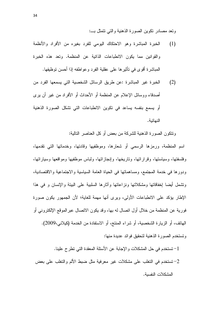ونعد مصادر نكوين الصورة الذهنية والتبي نتمثل بـــ:

- الخبرة المباشرة وهو الاحتكاك اليومى للفرد بغيره من الأفراد والأنظمة  $(1)$ والقوانين مما يكون الانطباعات الذاتية عن المنظمة. وتعد هذه الخبرة المباشرة أقوى في تأثيرها على عقلية الفرد وعواطفه إذا أحسن توظيفها.
- الخبر ة غير المباشر ة :عن طريق الرسائل الشخصية التي يسمعها الفرد من  $(2)$ أصدقاء ووسائل الإعلام عن المنظمة أو الأحداث أو الأفر اد من غير أن ير ي أو يسمع بنفسه يساعد في تكوين الانطباعات التي نشكل الصورة الذهنية النهائية.

ونتكون الصورة الذهنية للشركة من بعض أو كل العناصر التالية:

اسم المنظمة، ورمزها الرسمي أو شعارها، وموظفيها وقادتها، وخدماتها التي تقدمها، وفلسفتها، وسياستها، وقراراتها، وتاريخها، وإنجازاتها، ولباس موظفيها ومواقعها وسياراتها، ودورها في خدمة المجتمع، ومساهماتها في الحياة العامة السياسية والاجتماعية والاقتصادية، ونشمل أيضا إخفاقاتها ومشكلاتها ونزاعاتها وأثارها السلبية على البيئة والإنسان و في هذا الإطار بؤكد على الانطباعات الأولى، ويرى أنها مهمة للغاية؛ لأن الجمهور يكون صورة فورية عن المنظمة من خلال أول اتصال له بها، وقد يكون الاتصال عبر الموقع الإلكتروني أو الهاتف، أو الزيارة الشخصية، أو شراء المنتج، أو الاستفادة من الخدمة (كيلاني،2009). وتستخدم الصور ة الذهنية لتحقيق فوائد عديدة منها:

1– تستخدم في حل المشكلات و الإجابة عن الأسئلة المعقدة التي تطرح علينا. تستخدم في النغلب على مشكلات غير معرفية مثل ضبط الألم والنغلب على بعض  $-2$ المشكلات النفسبة.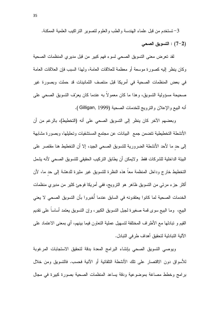تستخدم من قبل علماء الهندسة والطب والعلوم لتصوير التراكيب العلمية الممكنة.  $-3$ 

: (7–2) التسويق الصحى

لقد تعرض معنى التسويق الصحى لسوء فهم كبير من قبل مديري المنظمات الصحية وكان بنظر إليه كصورة موسعة أو معظمة للعلاقات العامة، ولهذا السبب فإن العلاقات العامة في بعض المنظمات الصحية في أمريكا قبل منتصف الثمانينات قد حملت وبصورة غير صحيحة مسؤولية التسويق، وهذا ما كان معمولاً به عندما كان بعرَّف التسويق الصحى على أنه البيع والإعلان والنزويج للخدمات الصحية (Gilligan, 1999 ).

وبعضهم الآخر كان ينظر إلى النسويق الصحي على أنه (التخطيط)، بالرغم من أن الأنشطة التخطيطية نتضمن جمع البيانات عن مجتمع المستشفيات وتحليلها، وبصورة مشابهة إلى حد ما لأحد الأنشطة الضرورية للتسويق الصحي الجيد، إلا أن التخطيط هنا مقتصر على البيئة الداخلية للشركات فقط و لايمكن أن يطابق النركيب الحقيقي للنسويق الصحى لأنه يشمل التخطيط خارج وداخل المنظمة معاً هذه النظرة للتسويق غير مثيرة للدهشة إلى حد ما، لأن أكثر جزء مرئي من التسويق ظاهر هو الترويج، ففي أمريكا فوجئ كثير من مديري منظمات الخدمات الصحية لما كانوا يعتقدونه في السابق عندما أخبروا بأن التسويق الصحى لا يعني البيع، وما البيع سوى قمة صغيرة لـجبل النسويق الكبير، وإن النسويق يعتمد أساسا على نقديم القيم و نبادلها مع الأطر اف المختلفة لتسهيل عملية النعاون فيما بينهم، أي بمعنى الاعتماد على الآلية التبادلية لتحقيق أهداف طر في التبادل.

وبوصي التسويق الصحي بإنشاء البرامج المعدة بدقة لتحقيق الاستجابات المرغوبة للأسواق دون الاقتصار على تلك الأنشطة التلقائية أو الآنية فحسب. فالتسويق ومن خلال برامج وخطط مصاغة بموضوعية ودقة يساعد المنظمات الصحية بصورة كبيرة في مجال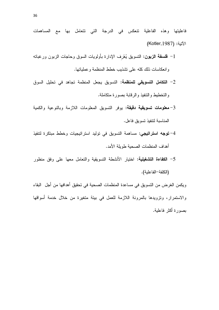- 1– فلسفة الزبون: النسويق يُعّرف الإدارة بأولويات السوق وحاجات الزبون ورغبانه وانعكاسات ذلك كله على نشذيب خطط المنظمة وعملياتها.
- 2- ا**لتكامل التسويقي للمنظمة:** التسويق يجعل المنظمة تجاهد في تحليل السوق والتخطيط والنتفيذ والرقابة بصورة متكاملة.
- 3-معلومات تسويقية دقيقة: يوفر النسويق المعلومات اللازمة وبالنوعية والكمية المناسبة لتتفيذ تسويق فاعل.
- 4– **توجه استراتيجي**: مساهمة التسويق في توليد استراتيجيات وخطط مبتكرة لتتفيذ أهداف المنظمات الصحية طويلة الأمد.
- 5– ا**لكفاءة التشغيلية:** اختيار الأنشطة التسويقية والتعامل معها على وفق منظور (الكلفة-الفاعلية).

ويكمن الغرض من التسويق في مساعدة المنظمات الصحية في نحقيق أهدافها من أجل البقاء والاستمرار، ونزويدها بالمرونة اللازمة للعمل في بيئة متغيرة من خلال خدمة أسواقها بصورة أكثر فاعلية.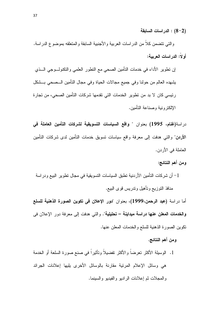(2–8) : الدراسات السابقة

والتي نتضمن كلا من الدراسات العربية والأجنبية السابقة والمتعلقه بموضوع الدراسة. أو لا: الدر اسات العربية:

إن نطوير الأداء في خدمات النأمين الصحي مع النطور العلمي والنكنولـــوجي الـــذي بِشهده العالم من حولنا وفي جميع مجالات الحياة وفي مجال النأمين الـــصحى بـــشكل رِ ئيسى كان لا بد من تطوير ِ الخدمات التي تقدمها شركات التأمين الصحي، من تجار ة الالكتر ونبة وصناعة التأمين.

در اسة(غنام، 1995) بعنوان " واقع السياسات التسويقية لشركات التأمين العاملة في **الأردن**" والتي هدفت إلى معرفة واقع سياسات تسويق خدمات التأمين لدى شركات التأمين العاملة في الأردن.

## ومن أهم النتائج:

1- أن شركات النأمين الأردنية نطبق السياسات النسويقية في مجال نطوير البيع ودراسة منافذ النوزيع ونأهيل وندريس قوى البيع.

أما دراسة (عبد الرحمن،1999)، بعنوان "دور الإعلان في تكوين الصورة الذهنية للسلع **والخدمات المعلن عنها دراسة ميداينة – تحليلية**". والتي هدفت إلى معرفة دور الإعلان في نكوين الصورة الذهنية للسلع والخدمات المعلن عنها.

ومن أهم النتائج.

1. الوسيلة الأكثر تعرضاً والأكثر تفضيلاً وتأثيراً في صنع صورة السلعة أو الخدمة هي وسائل الإعلام المرئية مقارنة بالوسائل الأخرى بليها إعلانات الجرائد والمجلات ثم إعلانات الراديو والفيديو والسبنما.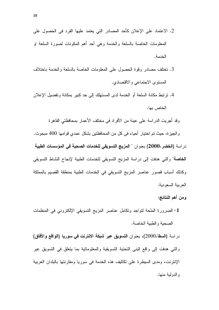- 2. الاعتماد على الإعلان كأحد المصادر التي يعتمد عليها الفرد في الحصول على المعلومات الخاصة بالسلعة والخدمة وهي أحد أهم المكونات لصورة السلعة او الخدمة.
- 3. نختلف مصادر وقوة الحصول على المعلومات الخاصة بالسلعة والخدمة باختلاف المستوى الاجتماعي والاقتصادي.
- 4. نربنط مكانة السلعة أو الخدمة لدى المستهلك إلى حد كبير بمكانة ونفضيل الإعلان الخاص بها.
	- وقد أجريت الدراسة على عينة من الأفراد في مختلف الأعمار بمحافظتي القاهرة

والجيزة، حيث تم اختيار أحياء في كل من المحافظتين بشكل عمدي قوامها 400 مبحوث. در اسة (الخضر ،2000) بعنوان " المزيج التسويقي للخدمات الصحية في المؤسسات الطبية **الخاصة**" والتي هدفت إلى در اسة المزيج التسويقي للخدمات الطبية لإنجاح النشاط التسويقي وكذلك أسباب قصور عناصر المزيج التسويقي في الخدمات الطبية بمنطقة القصيم بالمملكة العر ببة السعو دبة.

### ومن أهم النتائج:

1–الضرورة الملحة لتواجد وتكامل عناصر المزيج التسويقي الإلكتروني في المنظمات الصحبة والطببة الخاصة.

دراسة (السقا،2000)، بعنوان التسويق عبر شبكة الانترنت في سوريا (الواقع والأفاق) والتي هدفت إلى واقع البني التحتية التسويقية والمعلوماتية بما يتعلق في التسويق عبر الإنترنت، ومدى السيطرة على نكاليف هذه الخدمة في سوريا ومقارنتها بالبلدان العربية والدولية منها.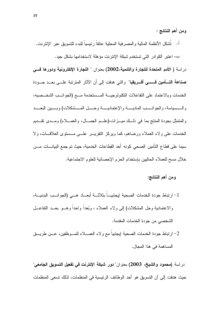ومن أهم النتائج :

أ- تَشكل الأنظمة المالية والمصرفية المحلية عائقاً رئيسياً للبدء للتسويق عبر الإنترنت. ب- اعتبر الكوادر التي تستخدم شبكة الإنترنت مؤهلة لاستخدامها بشكل جيد.

دراسة ( الأمم المتحدة للتجارة والتنمية،2002) بعنوان " التجارة الإلكترونية ودورها فسى **صناعة التـــأمين فــــــي أفــــريقي**ا" والتي هدفت إلى أن الآثار المنزنبة علـــي بعـــد جـــودة الخدمات وبالاعتماد على التفاعلات التكنولوجيسة المسستخدمة مسع (الجوانسب الشخسصيه، والسسباسة، والجوانسـب الماديــــة والإعتماديــــة وحــــل المــــشكلات) وبـــــين البعــــد والمنمثل بجودة المنتج بما في ذلــك ميـــزات،(علـــم الجمـــال، والعمــــلاء) ومـــدى نقـــديم الخدمات على ولاء العملاء ورضاهم، كما ويركز النقريـــر علــــي مـــستوى العلاقـــات، ولا سيما على قطاع التأمين الصحى كونه أحد القطاعات الخدمية، حيث تم جمع البيانـــات مـــن خلال مسح للعملاء الحاليين بإستخدام الحزم الإحصائية للعلوم الاجتماعية.

### ومن أهم النتائج:

- 1– ار نباط جودة الخدمات الصحية إيجابيـــا بثلاثـــة أبعـــاد هـــى (الجو انـــب البدنيـــة، والاعتمادية وحل المشكلات) إلى ولاء العملاء ، وبُعداً واحداً وهـــو بعـــد النفاعـــل الشخصبي من جودة الخدمات المقدمة.
- 2– ارتباط جودة الخدمات الصحية إيجابياً مع ولاء العمـــلاء للمـــوظفين، عـــن طريـــق المساهمة في هذا المجال.

در اسة (محمود والشيخ، 2003) بعنوان" دور شبكة الإنترنت في تفعيل التسويق الجامعي" حيث هدفت إلى أن التسويق هو أحد الوظائف الرئيسية في المنظمات، لذلك تسعى المنظمات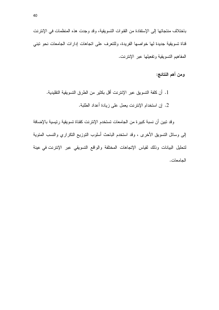ومن أهم النتائج:

1. أن كلفة النسويق عبر الإنترنت أقل بكثير من الطرق النسويقية النقليدية. 2. إن استخدام الإنترنت يعمل على زيادة أعداد الطلبة.

وقد تبين أن نسبة كبيرة من الجامعات تستخدم الإنترنت كقناة تسويقية رئيسية بالإضافة إلى وسائل النسويق الأخرى ، وقد استخدم الباحث أسلوب النوزيع النكراري والنسب المئوية لتحليل البيانات وذلك لقياس الإتجاهات المختلفة والواقع التسويقي عبر الإنترنت في عينة الجامعات.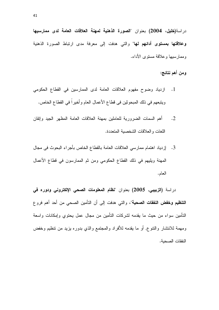# ومن أهم نتائج:

- ازدياد وضوح مفهوم العلاقات العامة لدى الممارسين في القطاع الحكومي  $\ddots$ ويِتبعهم في ذلك المبحوثين في قطاع الأعمال العام وأخيراً في القطاع الخاص.
- أهم السمات الضروربة للعاملين بمهنة العلاقات العامة المظهر الجبد وإنقان  $\cdot$ .2 اللغات والعلاقات الشخصبة المتعددة.
- 3. إزدياد اهتمام ممارسي العلاقات العامة بالقطاع الخاص بأجراء البحوث في مجال المهنة ويليهم في ذلك القطاع الحكومي ومن ثم الممارسون في قطاع الأعمال العام.

دراسة (الزبيبي, 2005) بعنوان "نظام المعلومات الصحى الإلكتروني ودوره في **التنظيم وخفض النفقات الصحية**"، والتي هدفت إلى أن التأمين الصحى من أحد أهم فروع التأمين سواء من حيث ما يقدمه لشركات التأمين من مجال عمل يحتوى وإمكانات واسعة ومهمة للانتشار والنتوع, أو ما يقدمه للأفراد والمجتمع والذي بدوره بزيد من نتظيم وخفض النفقات الصحبة.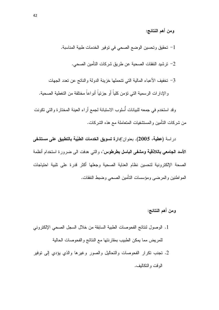ومن أهم النتائج:

1– تحقيق وتحسين الوضع الصحى في توفير الخدمات طبية المناسبة.

- ترشيد النفقات الصحية عن طريق شركات التأمين الصحى  $-2$ 

3– تخفيف الأعباء المالية التي تتحملها خزينة الدولة والناتج عن تعدد الجهات والإدارات الرسمية التي تؤمن كلياً أو جزئياً أنواعاً مختلفة من التغطية الصحية.

وقد استخدم في جمعه للبيانات أُسلوب الاستبانة لجمع أراء العينة المختارة والتي تكونت من شر كات التأمين و المستشفيات المتعاملة مع هذه الشر كات.

در اسة (عطية، 2005). بعنو ان"إدارة تسويق الخدمات الطبّية بالتطبيق على مستشفى الأسد الجامعي باللاذقية ومشفى الباسل بطرطوس"، والتي هدفت الي ضرورة استخدام أنظمة الصحة الإلكترونية لتحسين نظام العناية الصحية وجعلها أكثر قدرة على تلبية احتياجات المو اطنين و المرضى ومؤسسات التأمين الصحى وضبط النفقات.

## ومن أهم النتائج:

- 1. الوصول لنتائج الفحوصات الطبية السابقة من خلال السجل الصحى الإلكتروني للمريض مما يمكن الطبيب بمقارنتها مع النتائج والفحوصات الحالية
- 2. نجنب نكرار الفحوصات والنحاليل والصور وغيرها والذي يؤدي إلى نوفير الوقت والتكاليف.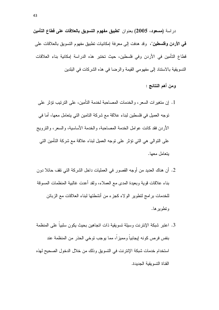دراسة (مسعود، 2005) بعنوان "تطبيق مفهوم التسويق بالعلاقات على قطاع التأمين في الأردن وفلسطين"، وقد هدفت إلى معرفة إمكانيات تطبيق مفهوم التسويق بالعلاقات على قطاع التأمين في الأردن وفي فلسطين، حيث تختبر هذه الدراسة إمكانية بناء العلاقات التسويقية بالاستناد إلى مفهومي القيمة والرضا في هذه الشركات في البلدين

- ومن أهم النتائج :
- 1. إن منغير ات السعر ، و الخدمات المصاحبة لخدمة النَّامين، على التر تبب تؤثِّر على توجه العميل في فلسطين لبناء علاقة مع شركة التامين التي يتعامل معها، أما في الأر دن فقد كانت عو امل الخدمة المصاحبة، و الخدمة الأساسية، و السعر ، و النّز و يج على التوالي هي التي تؤثِّر على توجه العميل لبناء علاقة مع شركة التأمين التي بتعامل معها.
- 2. أن هناك العديد من أوجه القصور في العمليات داخل الشركة التي تقف حائلا دون بناء علاقات قوية وبعيدة المدى مع العملاء، ولقد أعدت غالبية المنظمات المسوقة للخدمات برامج لنطوير الولاء كجزء من أنشطتها لبناء العلاقات مع الزبائن و تطوير ها.
- 3. اعتبر شبكة الإنترنت وسيلة تسويقية ذات اتجاهين بحيث يكون سلبيا على المنظمة بنفس فرص كونه إيجابياً ومميزاً، مما يوجب نوخي الحذر من المنظمة عند استخدام خدمات شبكة الإنترنت في التسويق وذلك من خلال الدخول الصحيح لهذه القناة التسويقية الجديدة.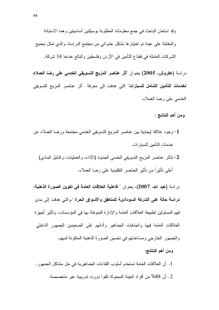وقد استعان الباحث في جمع معلوماته المطلوبة بوسبلتين أساسيتين وهما الاستبانة والمقابلة على عينة تم اختيارها بشكل عشوائي من مجتمع الدراسة، والذي تمثل بجميع الشركات العاملة في قطاع التأمين في الأردن وفلسطين والبالغ عددها 34 شركة.

دراسة (عكروش، 2005) بعنوان "أثر عناصر المزيج التسويقي الخدمي على رضا العملاء **لخدمات التأمين الشامل للسيارات**" التي هدفت إلى معرفة أثر عناصر المزيج التسويقي الخدمي على رضا العملاء.

ومن أهم النتائج :

- 1-وجود علاقة إيجابية بين عناصر المزيج التسويقي الخدمى مجتمعة ورضا العملاء عن خدمات التأمين للسبار ات.
	- 2–نتأثر عناصر المزيج التسويقي الخدمي الجديدة (الأداء، والعمليات، والدليل المادي) أعلى نأنثيراً من نأنثير العناصر النقليدية على رضا العملاء.

در اسة (عبد الله، 2007)، بعنوان " فاعلية العلاقات العامة في تكوين الصورة الذهنية: دراسة حالة على الشركة السودانىة للمناطق والأسواق الحرة ".والتي هدفت إلى مدى فهم المسئولين لطبيعة العلاقات العامة والإدارة المنوطة بها في المؤسسات، وتأثير أجهزة العلاقات العامة فيها وانجاهات الجماهير وأدائهم على الصعيدين الجمهور الداخلي والجمهور الخارجي ومساعدتهم في تحسين الصورة الذهنية المتكونة لديهم.

ومن أهم النتائج:

1. أن العلاقات العامة تستخدم أسلوب اللقاءات الجماهيرية في حل مشاكل الجمهور . 2. أن 88% من أفر اد العينة المبحوثة تلقوا دورت تدريبية غير متخصصة.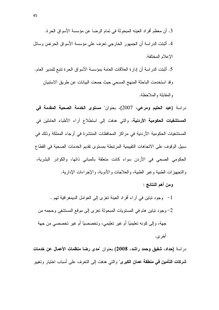دراسة (عبد الحليم ومرعى، 2007)، بعنوان" مستوى الخدمة الصحية المقدمة في **المستشفيات الحكومية الأردنية**، والتي هدفت إلى استطلاع آراء الأطباء العاملين في المستشفيات الحكومية الأردنية في مراكز المحافظات المنتشرة في أرجاء المملكة وذلك في سبيل الوقوف على الاتجاهات التقييمية المرتبطة بمستوى تقديم الخدمات الصحية في القطاع الحكومي الصحى في الأردن سواء كانت متعلقة بالمباني ذاتها، والكوادر البشرية، والتجهيزات الطبية وغير الطبية، والعلاجات والأدوية، والإجراءات الإدارية.

- ومن أهم النتائج :
- 1- وجود نباين في أراء أفراد العينة نعزى إلى العوامل الديمغرافية لمهم . وجود نباين هام في المستويات المبحوثة نعزى إلى موقع المستشفى وحجمه من  $-2$ جهة، وإلى كونه تعليميًا أم غير تعليمي، وتخصصيًا أم غير تخصصي من جهة أخر ي.

دراسة (حداد، شفيق وحمد راشد، 2008) بعنوان "مدى رضا منظمات الأعمال عن خدمات **شركات التأمين في منطقة عمان الكبر ي**" والتي هدفت إلى النعرف على أسباب اختيار وتغيير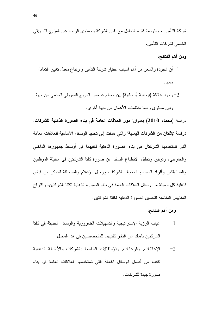- ومن أهم النتائج:
- 1– أن الجودة والسعر من أهم اسباب اختيار شركة النأمين وارتفاع معدل نغيير النعامل معها.
- 2– وجود علاقة (إيجابية أو سلبية) بين معظم عناصر المزيج التسويقي الخدمي من جهة وبين مستوى رضا منظمات الأعمال من جهة أخرى.

دراسة (محمد، 2010) بعنوان" دور العلاقات العامة في بناء الصورة الذهنية للشركات: دراسة لإثنتان من الشركات اليمنية" والتي هدفت إلى تحديد الوسائل الأساسية للعلاقات العامة التي تستخدمها الشركتان في بناء الصورة الذهنية لكليهما في أوساط جمهورها الداخلي والخارجي، وتوثيق وتحليل الانطباع السائد عن صورة كلتا الشركتين في مخيلة الموظفين والمستهلكين وأفراد المجتمع المحيط بالشركات ورجال الإعلام والصحافة لنتمكن من قياس فاعلية كل وسيلة من وسائل العلاقات العامة في بناء الصورة الذهنية لكلنا الشركتين، واقتراح المقاييس المناسبة لتحسين الصورة الذهنية لكلتا الشركتين.

### ومن أهم النتائج:

- غياب الرؤية الإستراتيجية والتسهيلات الضرورية والوسائل الحديثة في كلتا  $-1$ الشر كتبن ناهبك عن افتقار كلتبهما للمتخصصين في هدا المجال.
- الإعلانات, والر عابات, والإحتفالات الخاصة بالشركات والأنشطة الدعائبة  $-2$ كانت من أفضل الوسائل الفعالة التي تستخدمها العلاقات العامة في بناء صورة جيدة للشركات.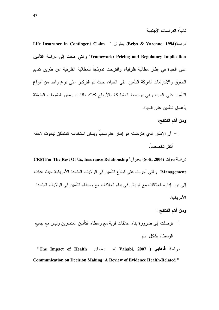ثانياً: الدر اسات الأحنيية.

Life Insurance in Contingent Claim " بعنوان " Life Insurance in Contingent Claim Framework: Pricing and Regulatory Implication" والتي هدفت إلى دراسة التأمين على الحياة في إطار مطالبة ظرفية، واقترحت نموذجاً للمطالبة الظرفية عن طريق تقديم الحقوق والالتزامات لشركة التأمين على الحياة، حيث تم التركيز على نوع واحد من أنواع التأمين على الحياة وهي بوليصة المشاركة بالأرباح كذلك ناقشت بعض التشيعات المتعلقة بأعمال التأمين على الحباة.

ومن أهم النتائج:

1- أن الإطار الذي افترضته هو إطار عام نسبياً ويمكن استخدامه كمنطلق لبحوث لاحقة أكثر تخصصاً.

در اسة سوفت (Soft, 2004) بعنو ان" CRM For The Rest Of Us, Insurance Relationship Management" والتي أجريت على قطاع التأمين في الولايات المتحدة الأمريكية حيث هدفت إلى دور إدارة العلاقات مع الزبائن في بناء العلاقات مع وسطاء النأمين في الولايات المتحدة الأمر بكنة.

ومن أهم النتائج :

أ– نوصلت إلى ضرورة بناء علاقات قوية مع وسطاء التأمين المتميزين وليس مع جميع الوسطاء بشكل عام.

در اسة فاهابي ( Vahabi, 2007 )، بعنوان "The Impact of Health **Communication on Decision Making: A Review of Evidence Health-Related "**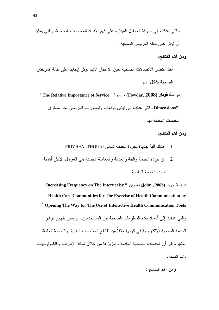ومن أهم النتائج:

1– أخذ عنصر الاتصالات الصحية بعين الاعتبار لأنها تؤثر إيجابيًا على حالة المريض الصحية بشكل عام.

دراسة فودار (Fowdar, 2008) ، بعنوان The Relative Importance of Service'' ''Dimensions والتي هدفت إلى قياس نوقعات ونصورات المرضى نحو مسنوى الخدمات المقدمة لهم .

ومن أهم النتائج:

1- هناك آلية جديدة لجودة الخدمة تسمىPRIVHEALTHQUAL أن جودة الخدمة والثقة والعدالة والمعاملة الحسنة هي العوامل الأكثر أهمية  $-2$ لحودة الخدمة المقدمة.

دراسة جون (John , 2008) بعنوان " Increasing Frequency on The Internet by Health Care Communities for The Exercise of Health Communication by " Opening The Way for The Use of Interactive Health Communication Tools والتي هدفت إلى أنه قد تقدم المعلومات الصحية بين المستخدمين، ويعتبر ظهور توفير الخدمة الصحية الإلكترونية في كونها حقلاً من تقاطع المعلومات الطبية والصحة العامة، مشير ءً الے أن الخدمات الصحبة المقدمة و تعزيز ها من خلال شبكة الانتر نت و التكنولوجيات ذات الصلة.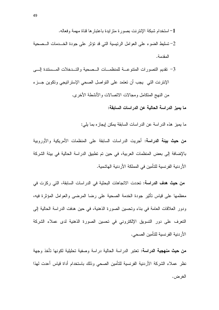3– نقديم التصورات المتنوعـــة للمنظمـــات الـــصـحية والتـــدخلات المـــستندة إلــــي الإنترنت التي يجب أن تعتمد على التواصل الصحى الإستراتيجي وتكوين جـــز ء من النهج المتكامل ومجالات الاتصالات والأنشطة الأخر ي.

ما يميز. الدراسة الحالية عن الدراسات السابقة:

ما يميز هذه الدر اسة عن الدر اسات السابقة يمكن إيجاز ه بما يلي:

**من حيث بيئة الدراسة:** أجريت الدراسات السابقة على المنظمات الأمريكية والأوروبية بالإضافة إلى بعض المنظمات العربية، في حين تم تطبيق الدراسة الحالية في بيئة الشركة الأردنية الفرنسية للتأمين في المملكة الأردنية الهاشمية.

**من حيث هدف الدراسة:** تعددت الاتجاهات البحثية في الدراسات السابقة، التي ركزت في معظمها على قياس نأثير جودة الخدمة الصحية على رضا المرضىي والعوامل المؤثرة فيه، ودور العلاقات العامة في بناء وتحسين الصورة الذهنية، في حين هدفت الدراسة الحالية إلى التعرف على دور التسويق الإلكتروني في تحسين الصورة الذهنية لدى عملاء الشركة الأر دنية الفرنسية للتأمين الصحي.

**من حيث منهجية الدراسة:** تعتبر الدراسة الحالية دراسة وصفية تحليلية لكونها تأخذ وجهة نظر عملاء الشركة الأردنية الفرنسية للتأمين الصحى وذلك باستخدام أداة قياس أعدت لمهذا الغرض.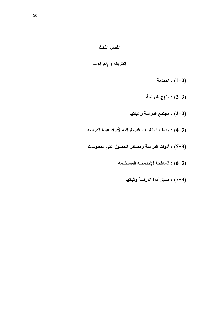#### الفصل الثالث

# الطريقة والإجراءات

- المقدمة:  $(1-3)$
- $(2-3)$  : منهج الدراسة
- (3-3) : مجتمع الدراسة وعينتها
- (3-4) : وصف المتغيرات الديمغرافية لأفراد عينة الدراسة
- (3–5) : أدوات الدراسة ومصادر الحصول على المعلومات
	- (3–6) : المعالجة الإحصائية المستخدمة
		- (3–7) : صدق أداة الدراسة وثباتها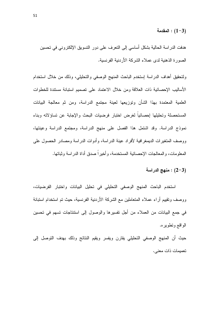المقدمة:  $(1-3)$ 

هدفت الدراسة الحالية بشكل أساسي إلى النعرف على دور النسويق الإلكتروني في نحسين الصور ة الذهنية لدى عملاء الشركة الأردنية الفرنسية.

ولتحقيق أهداف الدراسة إستخدم الباحث المنهج الوصفى والتحليلي، وذلك من خلال استخدام الأساليب الإحصائية ذات العلاقة ومن خلال الاعتماد على تصميم استبانة مستندة للخطوات العلمية المعتمدة بهذا الشأن ونوزيعها لعينة مجتمع الدراسة، ومن ثم معالجة البيانات المستحصلة وتحليلها إحصائياً لغرض اختبار فرضيات البحث والإجابة عن تساؤلاته وبناء نموذج الدراسة. وقد اشتمل هذا الفصل على منهج الدراسة، ومجتمع الدراسة وعينتها، ووصف المتغيرات الديمغرافية لأفراد عينة الدراسة، وأدوات الدراسة ومصادر الحصول على المعلومات، والمعالجات الإحصائية المستخدمة، وأخيرًا صدقٍ أداة الدراسة وثباتها.

### $(2-3)$  : منهج الدراسة

استخدم الباحث المنهج الوصفى التحليلي في تحليل البيانات واختبار الفرضيات، ووصف ونقييم أراء عملاء المتعاملين مع الشركة الأردنية الفرنسية، حيث تم استخدام استبانة في جمع البيانات من العملاء من أجل نفسيرها والوصول إلى استنتاجات نسهم في نحسين الواقع وتطوير ه.

حيث أن المنهج الوصفي التحليلي يقارن ويفسر ويقيم النتائج وذلك بهدف النوصل إلى تعميمات ذات معنى.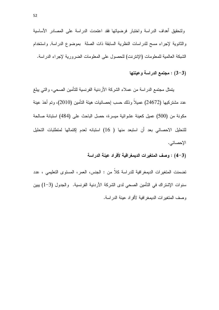ولتحقيق أهداف الدر اسة واختبار فرضياتها فقد اعتمدت الدراسة على المصادر الأساسية والثانوية لإجراء مسح للدراسات النظرية السابقة ذات الصلة بموضوع الدراسة, واستخدام الشبكة العالمية للمعلومات (الإنترنت) للحصول على المعلومات الضرورية لإجراء الدراسة.

(3-3) : مجتمع الدراسة وعينتها

يتمثِّل مجتمع الدر اسة من عملاء الشركة الأردنية الفرنسية للتأمين الصحي، والتي يبلغ عدد مشتر كيها (24672) عميلا وذلك حسب إحصائيات هيئة التأمين (2010)، وتم أخذ عينة مكونة من (500) عميل كعينة عشوائية ميسرة، حصل الباحث على (484) استبانة صالحة للتحليل الاحصائي بعد أن استبعد منها ( 16) استبانه لعدم إكتمالها لمتطلبات التحليل الإحصائي.

(3–4) : وصف المتغيرات الديمغرافية لأفراد عينة الدراسة

تضمنت المتغيرات الديمغرافية للدراسة كلاً من : الجنس، العمر ، المستوى التعليمي ، عدد سنوات الإشتراك في التأمين الصحى لدى الشركة الأردنية الفرنسية. والجدول (3–1) يبين وصف المتغير ات الديمغر افية لأفر اد عينة الدر اسة.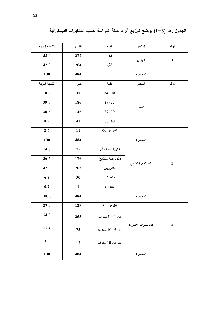| النسبة الئوية | التكرار      | الفئة             | المتغير            | الرقم                   |
|---------------|--------------|-------------------|--------------------|-------------------------|
| 58.0          | 277          | ذكر               | الجنس              | $\mathbf 1$             |
| 42.0          | 204          | أنشى              |                    |                         |
| 100           | 484          | المجموع           |                    |                         |
| النسبة الئوية | التكرار      | الفئة             | المتغير            | الرقم                   |
| 18.9          | 100          | $24 - 18$         |                    |                         |
| 39.0          | 186          | $29 - 25$         | العمر              |                         |
| 30.6          | 146          | $39 - 30$         |                    |                         |
| 8.9           | 41           | $60 - 40$         |                    |                         |
| 2.6           | 11           | أكبر من 60        |                    |                         |
| 100           | 484          | المجموع           |                    |                         |
| 14.8          | 75           | ثانوية عامة فأقل  |                    |                         |
| 36.6          | 176          | دبلوم(كلية مجتمع) | المستوى التعليمي   | $\mathbf{3}$            |
| 42.3          | 203          | بكالوريس          |                    |                         |
| 6.3           | 30           | ماجستير           |                    |                         |
| 0.2           | $\mathbf{1}$ | دكتوراه           |                    |                         |
| 100.0         | 484          | المجموع           |                    |                         |
| 27.0          | 129          | اقل من سنة        |                    |                         |
| 54.0          | 263          | من 1 – 5 سنوات    |                    |                         |
|               |              |                   | عدد سنوات الإشتراك | $\overline{\mathbf{4}}$ |
| 15.4          | 75           | من 6– 10 سنوات    |                    |                         |
| 3.6           | 17           | أكثر من 10 سنوات  |                    |                         |
|               |              |                   |                    |                         |
| 100           | 484          |                   | المجموع            |                         |

الجدول رقم (3–1) يوضح توزيع أفراد عينة الدراسة حسب المتغيرات الديمغرافية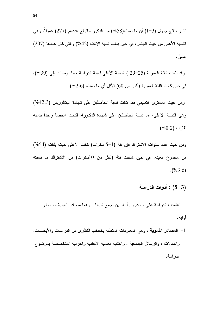ومن حيث المستوى التعليمي فقد كانت نسبة الحاصلين على شهادة البكالوريس (42.3%) وهي النسبة الأعلى، أما نسبة الحاصلين على شهادة الدكتوراه فكانت شخصاً واحداً بنسبه تقارب (0.2%).

ومن حيث عدد سنوات الاشتراك فإن فئة (1–5 سنوات) كانت الأعلى حيث بلغت (54%) من مجموع العينة، في حين شكلت فئة (أكثر من 10سنوات) من الاشتراك ما نسبته  $. (%3.6)$ 

(3–5) : أدوات الدراسة

اعتمدت الدراسة على مصدرين أساسبين لجمع البيانات وهما مصادر ثانوية ومصادر أولية.

1– ا**لمصادر الثانوية** : وهي المعلومات المتعلقة بالجانب النظري من الدراسات والأبحـــاث، و المقالات ، و الر سائل الجامعية ، و الكتب العلمية الأجنبية و العربية المتخصصة بمو ضو ع الدر اسة.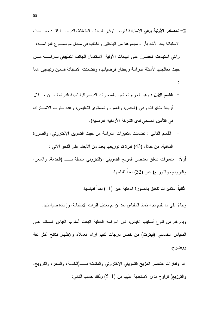- 2– المصادر الأولية وهي الاستبانة لغرض توفير البيانات المتعلقة بالدراســـة فقـــد صــــممت الاستبانة بعد الأخذ بأراء مجموعة من الباحثين والكتاب في مجال موضـــو ع الدراســـة، والتي استهدفت الحصول على البيانات الأولية لاستكمال الجانب التطبيقي للدراســــة مـــن حيث معالجتها لأسئلة الدراسة وإختبار فرضياتها، وتضمنت الاستبانة قسمين رئيسيين هما  $\ddot{\cdot}$
- القسم الأول : وهو الجزء الخاص بالمتغيرات الديمغرافية لعينة الدراسة مـــن خــــلال أربعة متغيرات وهي (الجنس، والعمر، والمستوى التعليمي، وعدد سنوات الاشــــتراك في التأمين الصحي لدى الشركة الأردنية الفرنسية).
- ا**لقسم الثاني :** تضمنت متغيرات الدراسة من حيث التسويق الإلكتروني، والصورة الذهنية. من خلال (43) فقرة تم توزيعها بعدد من الأبعاد على النحو الأتبي :
- أولا: منغيرات نتعلَّق بعناصر المزيج التسويقي الإلكتروني متمثلة بـــــــــــــــــــــــــــــــــــ (الخدمة، والسعر ، والنزويج، والنوزيع) عبر (32) بعداً لقياسها.

**ثانيا:** متغير ات نتعلق بالصور ة الذهنية عبر (11) بعدا لقياسها.

وبناءً على ما نقدم نم اعتماد المقياس بعد أن نم نعديل فقرات الاستبانة، وإعادة صياغتها.

وبالرغم من نتوع أساليب القياس، فإن الدراسة الحالية انبعت أسلوب القياس المسنند على المقياس الخماسي (ليكرت) من خمس درجات لتقيم آراء العملاء ولإظهار نتائج أكثر دقة ووضوح.

لذا ولفقرات عناصر المزيج التسويقي الإلكتروني والمتمثلة بــــــ(الخدمة، والسعر، والترويج، والنَّوزيع) نراوح مدى الاستجابة عليها من (1–5) وذلك حسب التالي: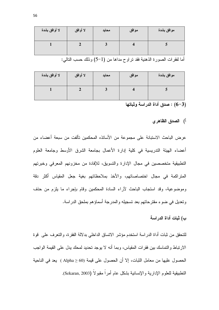| لا أوافق بشدة | لا أوافق | محايد          | موافق | موافق بشدة |
|---------------|----------|----------------|-------|------------|
|               |          | $\overline{ }$ |       |            |

أما لفقرات الصورة الذهنية فقد نراوح مداها من (1–5) وذلك حسب النالبي:

| لا أوافق بشدة | لا أوافق | محايد | موافق | موافق بشدة |
|---------------|----------|-------|-------|------------|
|               |          | a)    |       |            |

(3–6) : صدق أداة الدراسة وثباتها

أ) الصدق الظاهر ي

عرض الباحث الاستبانة على مجموعة من الأساتذه المحكمين تألفت من سبعة أعضاء من أعضاء الهيئة التدريسية في كلية إدارة الأعمال بجامعة الشرق الأوسط وجامعة العلوم التطبيقية متخصصين في مجال الإدارة والتسويق، للإفادة من مخزونهم المعرفي وخبرتهم المنزاكمة في مجال اختصاصاتهم، والأخذ بملاحظاتهم بغية جعل المقياس أكثر دقة وموضوعية، وقد استجاب الباحث لأراء السادة المحكمين وقام بإجراء ما بلزم من حذف ونعديل في ضوء مقترحاتهم بعد تسجيله والمدرجة أسماؤهم بملحق الدراسة.

ب) ثبات أداة الدراسة

للتحقق من ثبات أداة الدراسة استخدم مؤشر الاتساق الداخلي بدلالة الفقرة، والتعرف على قوة الارنباط والنماسك بين فقرات المقياس، وبما أنه لا يوجد تحديد لمحك يدل على القيمة الواجب الحصول عليها من معامل الثبات، إلا أن الحصول على قيمة (60 ≤ Alpha) يعد في الناحية النطبيقية للعلوم الإدارية والإنسانية بشكل عام أمراً مقبولاً (Sekaran, 2003).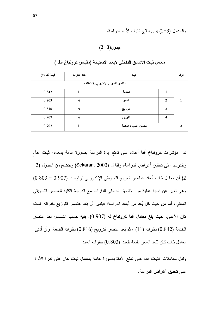والجدول (3–2) يبين نتائج الثبات لأداة الدراسة.

## $(2-3)$ جدول

| $(\alpha)$ قيمة ألفا | عدد الفقرات | البعد                |                         |   |
|----------------------|-------------|----------------------|-------------------------|---|
|                      |             |                      |                         |   |
| 0.842                | 11          | الخدمة               | 1                       |   |
| 0.803                | 6           | السعر                | $\mathbf{2}$            |   |
| 0.816                | 9           | الترويج              | 3                       |   |
| 0.907                | 6           | التوزيع              | $\overline{\mathbf{4}}$ |   |
| 0.907                | 11          | تحسين الصورة الذهنية |                         | 2 |

معامل ثبات الاتساق الداخلي لأبعاد الاستبانة (مقياس كرونباخ ألفا )

ندل مؤشرات كرونباخ ألفا أعلاه علىى تمتع إداة الدراسة بصورة عامة بمعامل ثبات عال وبقدرتها على تحقيق أغراض الدراسة، وفقاً ل (Sekaran, 2003) ويتضح من الجدول (3-2) أن معامل ثبات أبعاد عناصر المزيج التسويقي الإلكتروني تراوحت (0.907 – 0.803) وهي نعبر عن نسبة عالية من الانساق الداخلي للفقرات مع الدرجة الكلية للعنصر النسويقي المعنى، أما من حيث كل بُعد من أبعاد الدراسة؛ فيتبين أن بُعد عنصر النوزيع بفقراته الست كان الأعلى، حيث بلغ معامل ألفا كرونباخ له (0.907)، يليه حسب التسلسل بُعد عنصر الخدمة (0.842) بفقراته (11) ، ثم بُعد عنصر النرويج (0.816) بفقراته التسعة، وأن أدنـي معامل ثبات كان لبُعد السعر بقيمة بلغت (0.803) بفقراته الست.

وندل معاملات الثبات هذه علىي تمتع الأداة بصورة عامة بمعامل ثبات عال على قدرة الأداة على تحقيق أغر اض الدر اسة.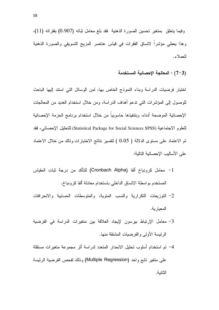وفيما يتعلَّق بمتغير تحسين الصورة الذهنية فقد بلغ معامل ثباته (0.907) بفقراته (11)، وهذا يعطى مؤشراً لاتساق الفقرات فى قياس عناصر المزيج التسويقي والصورة الذهنية للعملاء.

#### (3–7) : المعالجة الإحصائية المستخدمة

اختبار فرضيات الدراسة وبناء النموذج الخاص بها، لمن الوسائل التي استند إليها الباحث للوصول إلى المؤشرات التي ندعم أهداف الدراسة، ومن خلال استخدام العديد من المعالجات الإحصائية الموضحة أدناه، وبتنفيذها حاسوبياً من خلال استخدام برنامج الحزمة الإحصائية للعلوم الاجتماعية (Statistical Package for Social Sciences SPSS) للتحليل الإحصائي، فقد تم الاعتماد على مستوى الدلالة ( 0.05 ) لتفسير نتائج الاختبارات وذلك من خلال الاعتماد على الأساليب الإحصائية التالية:

- 1– معامل كرونباخ ألفا (Cronbach Alpha) للتأكد من درجة ثبات المقياس المستخدم بواسطة الاتساق الداخلي باستخدام معادلة ألفا كرونباخ.
- 2– النَّوزيعات النَّكرارية والنسب المئوية، والمتوسطات الحسابية والانحرافات المعيار ية.
- 3- معامل الإرتباط بيرسون لإيجاد العلاقة بين متغيرات الدراسة في الفرضية الرئيسة الأولى والفر ضبات المشتقة منها.
- 4– تم استخدام أسلوب تحليل الانحدار المتعدد لدراسة أثر مجموعة متغيرات مستقلة على متغير تابع و احد (Multiple Regression) و ذلك لفحص الفر ضبة الرئيسة الثانبة.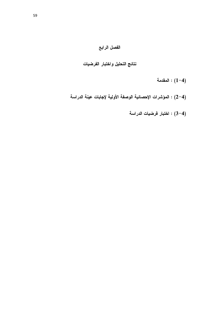# الفصل الرابع

# نتائج التحليل واختبار الفرضيات

- المقدمة:  $(1-4)$
- (4–2) : المؤشرات الإحصائية الوصفة الأولية لإجابات عينة الدراسة
	- (4–3) : اختبار فرضيات الدراسة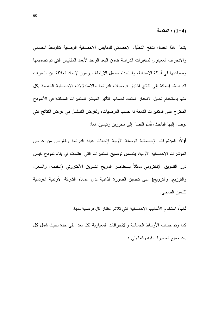المقدمة:  $(1-4)$ 

يشمل هذا الفصل نتائج التحليل الإحصائي للمقاييس الإحصائية الوصفية كالوسط الحسابي والانحراف المعياري لمتغيرات الدراسة ضمن البعد الواحد لأبعاد المقابيس التي تم تصميمها وصياغتها في أسئلة الاستبانة، واستخدام معامل الارتباط بيرسون لإيجاد العلاقة بين متغيرات الدراسة، إضافة إلى نتائج اختبار فرضيات الدراسة والاستدلالات الإحصائية الخاصة بكل منها باستخدام تحليل الانحدار المتعدد لحساب التأتير المباشر للمتغيرات المستقلة في الأنموذج المقترح على المتغيرات التابعة له حسب الفرضيات، ولغرض التسلسل في عرض النتائج التي توصل اليها الباحث، قُسّم الفصل إلى محورين رئيسين هما:

أولًا: المؤشرات الإحصائية الوصفة الأولية لإجابات عينة الدراسة والغرض من عرض المؤشرات الإحصائية الأولية، يتضمن توضيح المتغيرات التي اعتمدت في بناء نموذج لقياس دور التسويق الإلكتروني ممثلا بــعناصر المزيج التسويق الألكتروني (الخدمة، والسعر، والنوزيع، والنرويج) على نحسين الصورة الذهنية لدى عملاء الشركة الأردنية الفرنسية للتأمين الصحي.

**ثانياً:** استخدام الأساليب الإحصائية التي تلائم اختبار كل فرضية منها.

كما ونم حساب الأوساط الحسابية والانحرافات المعيارية لكل بعد على حدة بحيث شمل كل بعد جميع المتغيرات فيه وكما يلي :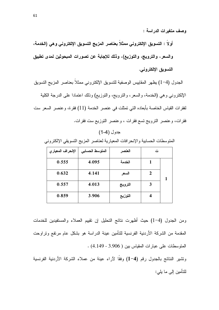وصف متغيرات الدراسة :

أولاً : التسويق الإلكتروني ممثلاً بعناصر المزيج التسويق الإلكتروني وهي (الخدمة، والسعر، والترويج، والتوزيع)، وذلك للإجابة عن تصورات المبحوثين لمدى تطبيق التسويق الإلكترونى.

الجدول (4–1) بظهر المقابيس الوصفية للتسويق الإلكتروني ممثلا بعناصر المزيج التسويق الإلكتروني وهي (الخدمة، والسعر، والنرويج، والنوزيع) وذلك اعتمادا على الدرجة الكلية لفقرات القياس الخاصة بأبعاده التي تمثلت في عنصر الخدمة (11) فقرة، وعنصر السعر ست فقرات، وعنصر النرويج تسع فقرات ، وعنصر النوزيع ست فقرات.

جدول (4-1) المتوسطات الحسابية والإنحرافات المعيارية لعناصر المزيج التسويقي الإلكتروني

| الإنحراف المعيار ي | المتوسط الحسابى | العفصر  | ت           |  |
|--------------------|-----------------|---------|-------------|--|
| 0.555              | 4.095           | الخدمة  |             |  |
| 0.632              | 4.141           | السعر   | $\mathbf 2$ |  |
| 0.557              | 4.013           | الترويج | 3           |  |
| 0.859              | 3.906           | التوزيع | 4           |  |

ومن الجدول (4–1) حيث أظهرت نتائج النحليل إن نقييم العملاء والمستفيدين للخدمات المقدمة من الشركة الأردنية الفرنسية للتأمين عينة الدراسة هو بشكل عام مرتفع وتراوحت المتوسطات على عبارات المقياس بين ( 3.906 - 4.149) .

ونشير النتائج بالجدول رقم (4–1) وفقًا لأراء عينة من عملاء الشركة الأردنية الفرنسية للتأمين إلى ما يلي: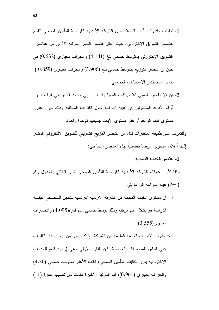- 1- تفاوتت تقديرات أراء العملاء لدى الشركة الأردنية الفرنسية للتأمين الصحى لتقييم عناصر التسويق الإلكتروني، حيث احتل عنصر السعر المرتبة الأولى من عناصر التسويق الإلكتروني بمتوسط حسابي بلغ (4.141) وانحراف معياري (0.632) في حين أن عنصر النوزيع بمنوسط حسابي بلغ (3.906) وانحراف معياري (0.859 ) حسب سلم تقدير الاستجابات الخماسي.
- 2- إن الانخفاض النسبي للانحرافات المعيارية يؤشر إلى وجود انساق في إجابات أو أراء الأفراد المشمولين في عينة الدراسة حول الفقرات المختلفة وذلك سواء على مستوى البعد الواحد أو على مستوى الأبعاد جميعها كوحدة واحدة.

وللنعرف على طبيعة المتغيرات لكل من عناصر المزيج النسويقي للنسويق الإلكتروني المشار إليها أعلاه، سيجرى عرضاً تفصيلياً لهذه العناصر ، كما يلي:

1- عنصر الخدمة الصحبة

وفقًا لأراء عملاء الشركة الأردنية الفرنسية للتأمين الصحي نشير النتائج بالجدول رقم (4–2) عينة الدر اسة إلى ما يلي:

- أ– إن مستوى الخدمة المقدمة من الشركة الأردنية الفرنسية للتأمين الـــصـحى عينــــة الدراسة هو بشكل عام مرتفع وذلك بوسط حسابي عام قدر ه(4.095) وانحــــراف معبار ي(0.555).
- ب– تفاوتت تقدير ات الخدمة المقدمة من الشركة، إذ كما يبدو من ترتيب هذه الفقرات على أساس المتوسطات الحسابية، فإن الفقرة الأولى وهي (وجود قسم للخدمات الإلكترونية ببرر نكاليف التأمين الصحى) كانت الأعلى بمتوسط حسابي (4.36) وانحراف معياري (0.961)، أما المربِّبة الأخيرة فكانت من نصيب الفقرة (11)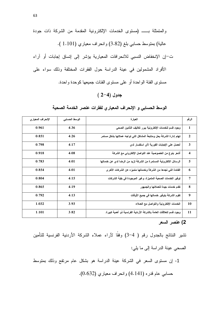## $(2-4)$  جدول

| الإنحراف المعيار ى | الوسط الحسابى | العبارة                                                             | الرقم                   |
|--------------------|---------------|---------------------------------------------------------------------|-------------------------|
| 0.961              | 4.36          | وجود قسم للخدمات الإلكترونية يبرر تكاليف التأمين الصحى              | $\mathbf{1}$            |
| 0.851              | 4.26          | تهتم إدارة الشركة بحل ومتابعة المشاكل التي تواجه عملائها بشكل مستمر | $\overline{2}$          |
| 0.798              | 4.17          | أحصل على الإجابات الفورية لأي استفسار لدي                           | $\overline{\mathbf{3}}$ |
| 0.918              | 4.08          | أشعر بنوع من الخصوصية عند التواصل الإلكتروني مع الشركة              | $\overline{\mathbf{4}}$ |
| 0.783              | 4.01          | الرسائل الالكترونية المستمرة من الشركة تزيد من الرضا لدى عن خدماتها | 5                       |
| 0.854              | 4.01          | الفائدة التي تجدها من الشركة وخدماتها متميزه عن الشركات الأخر ي     | 6                       |
| 0.804              | 4.15          | توفير الخدمات الصحية المتميزة، وغير الموجودة في بقية الشركات        | $\overline{7}$          |
| 0.865              | 4.19          | تقدم خدمات جيدة للعملائها والجمهور                                  | 8                       |
| 0.792              | 4.13          | تقوم الشركة بتوفير خدماتها في جميع الأوقات                          | 9                       |
| 1.032              | 3.93          | الخدمات الإلكترونية والتواصل مع العملاء                             | 10                      |
| 1.101              | 3.82          | وجود قسم للعلاقات العامة بالشركة الأردنية الفرنسية ذو أهمية كبيرة.  | 11                      |

الوسط الحسابي و الإنحراف المعياري لفقرات عنصر الخدمة الصحية

2) عنصر السعر

تشير النتائج بالجدول رقم ( 4–3) وفقًا لأراء عملاء الشركة الأردنية الفرنسية للتأمين الصحي عينة الدراسة إلى ما يلي:

1- إن مستوى السعر في الشركة عينة الدراسة هو بشكل عام مرتفع وذلك بمتوسط حسابي عام قدره (4.141) وانحراف معياري (0.632).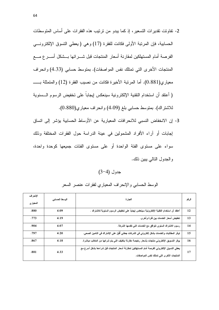- 2- تفاوتت تقديرات التسعير ، إذ كما يبدو من ترتيب هذه الفقرات على أساس المتوسطات الحسابية، فإن المرتبة الأولى فكانت للفقرة (17) وهي (يعطي التسوق الإلكترونسي الفرصة أمام المستهلكين لمقارنة أسعار المنتجات قبل شـــرائها بـــشكل أســـر ع مــــع المنتجات الأخرى التي تمتلك نفس المواصفات). بمتوسط حسابي (4.33) وانحراف معيار ي(0.881). أما المرتبة الأخير ة فكانت من نصيب الفقر ة (12) و المتمثلة بـــــــــــــــــــــــــ ( أعتقد أن استخدام التقنية الإلكترونية سينعكس إيجابا على تخفيض الرسوم الـــسنوية للاشتراك). بمتوسط حسابي بلغ (4.09) وانحراف معياري(0.880).
- 3- إن الانخفاض النسبي للانحرافات المعيارية عن الأوساط الحسابية يؤشر إلى اتساق إجابات أو آراء الأفراد المشمولين في عينة الدراسة حول الفقرات المختلفة وذلك سواء على مستوى الفئة الواحدة أو على مستوى الفئات جميعها كوحدة واحدة، والجدول النالي ببين ذلك.

### جدول (4–3)

| الإنحراف<br>المعياري | الوسط الحسابى | العبارة                                                                                                                                   | الرقم |
|----------------------|---------------|-------------------------------------------------------------------------------------------------------------------------------------------|-------|
| .880                 | 4.09          | أعتقد أن استخدام التقنية الإلكترونية سينعكس إيجاباً على تخفيض الرسوم السنوية للاشتراك .                                                   | 12    |
| .773                 | 4.19          | تخفيض أسعار الخدمات بين فترة وأخرى.                                                                                                       | 13    |
| .904                 | 4.07          | رسوم الاشتراك السنو ي تتوافق مع الخدمات التي تقدمها الشركة.                                                                               | 14    |
| .797                 | 4.20          | توفر المطالبات والخدمات بشكل إلكتروني في الشركات جعلني أُقْبل على الإشتراك فى التامين الصحى.                                              | 15    |
| .867                 | 4.18          | يوفر التسويق الإلكتروني منتجات بأسعار رخيصة مقارنة بتكليف التي يتم شرائها من المكاتب مباشرة.                                              | 16    |
| .881                 | 4.33          | يعطى التسوق الإلكتروني الفرصة أمام المستهلكين لمقارنة أسعار المنتجات قبل شراءها بشكل أسرع مع<br>المنتجات الأخرى التي تمتلك نفس المواصفات. | 17    |

الوسط الحسابي والإنحراف المعياري لفقرات عنصر السعر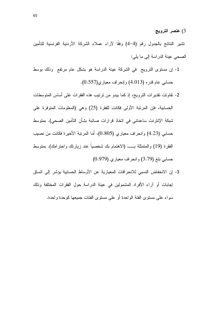#### 3) عنصر الترويج

تشير النتائج بالجدول رقم (4–4) وفقًا لآراء عملاء الشركة الأردنية الفرنسية للتأمين الصحي عينة الدراسة إلى ما يلي:

- 1- إن مستوى الترويج في الشركة عينة الدراسة هو بشكل عام مرتفع وذلك بوسط حسابي عام قدره (4.013) وإنحراف معياري(0.557).
- 2- تفاوتت نقديرات الترويج، إذ كما يبدو من ترتيب هذه الفقرات على أساس المتوسطات الحسابية، فإن المرتبة الأولى فكانت للفقرة (25) وهي (المعلومات المتوفرة على شبكة الإنترنت ساعدتني في اتخاذ قرارات صائبة بشأن التأمين الصحى). بمتوسط حسابي (4.23) وانحراف معياري (0.805)، أما المرنبة الأخيرة فكانت من نصيب حسابي بلغ (3.79) و انحر اف معياري (0.979)
- 3- إن الانخفاض النسبي للانحرافات المعيارية عن الأوساط الحسابية يؤشر إلى اتساق إجابات أو آراء الأفراد المشمولين في عينة الدراسة حول الفقرات المختلفة وذلك سواء على مستوى الفئة الواحدة أو على مستوى الفئات جميعها كوحدة واحدة.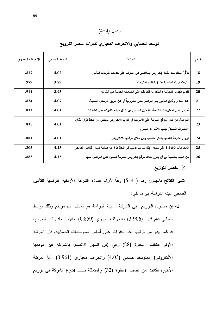## $(4-4)$  جدول

#### الوسط الحسابي والانحراف المعياري لفقرات عنصر الترويج

| الإنحراف المعيار ي | الوسط الحسابى | العبارة                                                                                                                           | الرقم |
|--------------------|---------------|-----------------------------------------------------------------------------------------------------------------------------------|-------|
| .817               | 4.02          | توَفُّرْ المعلومات بشكل إلكتروني يساعدني في التعرف على خدمات شركات التأمين.                                                       | 18    |
| .979               | 3.79          | الاهتمام بك شخصيا عند زيارتك واحترامك.                                                                                            | 19    |
| .914               | 3.95          | تقديم الهدايا المجانية والتذكارية لتعريف على الخدمات الجديدة في الشركة.                                                           | 20    |
| .834               | 4.07          | عند إصدار وثائق التأمين يتم التواصل معي الكترونيا أو عن طريق الرسائل النصيّة.                                                     | 21    |
| .833               | 4.01          | أحصل على المعلومات الخاصة بالتأمين الصحى من خلال موقع الشركة على الإنترنت                                                         | 22    |
| .835               | 4.01          | التواصل من خلال موقع الشركة على الانترنت أو البريد الالكتروني يمكنني من اتخاذ قرار بشأن<br>الاشتراك الجديد/ تجديد الاشتراك السنوي | 23    |
| .881               | 4.01          | تروج الشركة لنفسها بشكل مناسب ومن خلال موقعها الالكتروني                                                                          | 24    |
| .805               | 4.23          | المعلومات المتوفر ة على شبكة الإنترنت ساعدتني في اتخاذ قرارات صائبة بشأن التأمين الصحي                                            | 25    |
| .883               | 4.15          | من المهم بالنسبة لي أن يكون هناك موقع إلكتروني للشركة لتسهل على التواصل معها                                                      | 26    |

#### 4) عنصر التوزيع

تشير النتائج بالجدول رقم ( 4–5) وفقًا لأراء عملاء الشركة الأردنية الفرنسية للتأمين الصحى عينة الدراسة إلى ما يلي:

1- إن مستوى التوزيع في الشركة عينة الدراسة هو بشكل عام مرتفع وذلك بوسط حسابي عام قدره (3.906) وانحراف معياري (0,859). نفاوتت تقديرات التوزيع، إذ كما يبدو من ترتيب هذه الفقرات على أساس المتوسطات الحسابية، فإن المرتبة الأولى فكانت للفقرة (28) وهي (من السهل الاتصال بالشركة عبر موقعها الإلكتروني). بمنوسط حسابي (4.03) وانحراف معياري (0.961)، أما المرنبة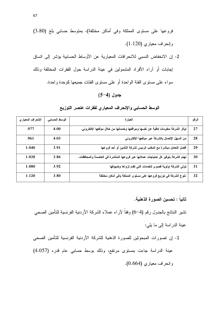$(5-4)$  جدول

| الإنحراف المعياري | الوسط الحسابي | العبارة                                                                             | الرقم |
|-------------------|---------------|-------------------------------------------------------------------------------------|-------|
| .977              | 4.00          | توفُّر الشَّركة معلومات كافية عن نفسها ومواقعها وخدماتها من خلال موقعها الإلكتروني. | 27    |
| .961              | 4.03          | من السهل الإتصال بالشركة عبر موقعها الإلكتروني                                      | 28    |
| 1.040             | 3.91          | أفضل التعامل مباشرة مع المكتب الرئيس لشركة التأمين أو أحد فروعها                    | 29    |
| 1.038             | 3.86          | تهتم الشركة بتوفير كل إحتياجات عملائها عبر فروعها المنتشرة في العاصمة والمحافظات.   | 30    |
| 1.080             | 3.92          | تولى الشركة إولوية قصوى للخدمات التى تقدم لزواها وضيوفها                            | 31    |
| 1.120             | 3.80          | تنوع الشركة في توزيع فروعها على مستوى المملكة وفي أماكن مختلفة                      | 32    |

الوسط الحسابي والإنحراف المعياري لفقرات عنصر التوزيع

ثانياً : تحسين الصورة الذهنية.

نتثمير النتائج بالجدول رقم (4–6) وفقاً لأراء عملاء الشركة الأردنية الفرنسية للتأمين الصحي عينة الدراسة إلى ما يلي:

1- إن تصورات المبحوثين للصورة الذهنية للشركة الأردنية الفرنسية للتأمين الصحي عينة الدراسة جاءت بمستوى مرتفع، وذلك بوسط حسابي عام قدره (4.057) وانحراف معياري (0.664).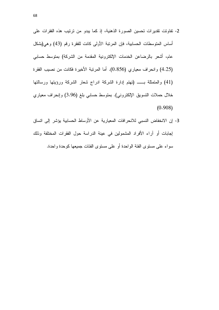- 2- تفاوتت تقديرات تحسين الصورة الذهنية، إذ كما يبدو من ترتيب هذه الفقرات على أساس المتوسطات الحسابية، فإن المرتبة الأولى كانت للفقرة رقم (43) وهي(بشكل عام، أشعر بالرضاعن الخدمات الإلكترونية المقدمة من الشركة) بمتوسط حسابي (4.25) وانحراف معياري (0.856). أما المرنبة الأخيرة فكانت من نصيب الفقرة خلال حملات النسويق الإلكتروني). بمنوسط حسابي بلغ (3.96) وإنحراف معياري  $(0.908)$
- 3- إن الانخفاض النسبي للانحرافات المعيارية عن الأوساط الحسابية يؤشر إلى اتساق إجابات أو آراء الأفراد المشمولين في عينة الدراسة حول الفقرات المختلفة وذلك سواء على مستوى الفئة الواحدة أو على مستوى الفئات جميعها كوحدة واحدة.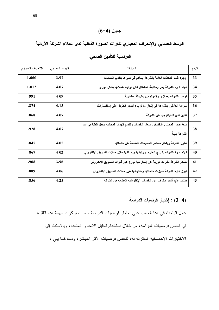## $(6-4)$  جدول

الوسط الحسابي والإنحراف المعياري لفقرات الصورة الذهنية لدى عملاء الشركة الأردنية

| الإنحراف المعيار ي | الوسط الحسابى | العبارات                                                                                      | الرقم |
|--------------------|---------------|-----------------------------------------------------------------------------------------------|-------|
| 1.060              | 3.97          | وجود قسم العلاقات العامة بالشركة يساهم في تميزها بتقديم الخدمات                               | 33    |
| 1.012              | 4.07          | تهتم إدارة الشركة بحل ومتابعة المشاكل التي تواجه عملائها بشكل دوري                            | 34    |
| .991               | 4.09          | ترحب الشركة بعملائها والمراجعين بطريقة حضارية                                                 | 35    |
| .874               | 4.13          | سرعة العاملين بالشركة في إنجاز ما تريد والصبر الطويل على إستفساراتك                           | 36    |
| .868               | 4.07          | تكون لدي انطباع جيد عن الشركة                                                                 | 37    |
| .928               | 4.07          | سعة صدر العاملين وتخفيض أسعار الخدمات وتقديم الهدايا المجانية يجعل إنطباعى عن<br>الشركة جيداً | 38    |
| .845               | 4.05          | تطور الشركة وبشكل مستمر المعلومات المقدمة عن خدماتها                                          | 39    |
| .867               | 4.02          | تهتم إدارة الشركة بإدراج شعارها ورؤيتها ورسالتها خلال حملات التسويق الإلكترونمي               | 40    |
| .908               | 3.96          | تصدر الشركة نشرات دورية عن إنجازاتها توزع عبر قنوات التسويق الإلكتروني.                       | 41    |
| .889               | 4.06          | تبرز إدارة الشركة مميزات خدماتها ومنتجاتها عبر حملات التسويق الإلكتروني                       | 42    |
| .856               | 4.25          | بشكل عام، أشعر بالرضا عن الخدمات الإلكترونية المقدمة من الشركة                                | 43    |

# الفرنسية للتأمين الصحى.

(4–3) : إختبار فرضيات الدراسة

عمل الباحث في هذا الجانب على اختبار فرضيات الدراسة ، حيث تركزت مهمة هذه الفقرة في فحص فرضيات الدراسة، من خلال استخدام تحليل الانحدار المتعدد، وبالاستناد إلى الاختبارات الإحصائية المقترنه به، لفحص فرضيات الأثر المباشر، وذلك كما يلي :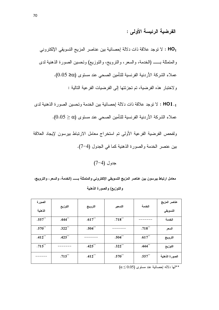# الفرضية الرئيسة الأولى :

لا توجد علاقة ذات دلالة إحصائية بين عناصر المزيج التسويقي الإلكتروني المن المحتروني الله لا ينه الم عملاء الشركة الأردنية الفرنسية للتأمين الصحى عند مستوى (&≤ 0.05). ولاختبار هذه الفرضية، تم تجزئتها إلى الفرضيات الفرعية التالية :

HO1−1 : لا توجد علاقة ذات دلالة إحصائية بين الخدمة وتحسين الصورة الذهنية لدى عملاء الشركة الأردنية الفرنسية للتأمين الصحى عند مستوى (0.05 ≥ 0.05).

ولفحص الفرضية الفرعية الأولى تم استخراج معامل الارتباط بيرسون لإيجاد العلاقة بين عنصر الخدمة والصورة الذهنية كما في الجدول (4–7).

 $(7-4)$  جدو ل

معامل ارتباط بيرسون بين عناصر المزيج التسويقي الإلكتروني والمتمثلة بــــــــــــــــــــــــــــــــ (الخدمة، والسعر ، والترويج، والتوزيع) والصورة الذهنية

| الصورة<br>الذهنية | التوزيع              | الترويج              | التسعير     | الخدمة    | عناصر المزيج<br>التسويقى |
|-------------------|----------------------|----------------------|-------------|-----------|--------------------------|
| $.557$ **         | $.444$ <sup>**</sup> | $.617$ **            | .718        |           | الخدمة                   |
| $.570^{**}$       | $.322$ **            | $.504$ **            |             | .718      | السعر                    |
| $.412$ **         | $.425$ **            |                      | $.504$ **   | $.617$ ** | الترويج                  |
| $.715$ **         |                      | $.425$ **            | $.322$ **   | $.444$ ** | التوزيع                  |
|                   | $.715$ **            | $.412$ <sup>**</sup> | $.570^{**}$ | $.557$ ** | الصورة الذهنية           |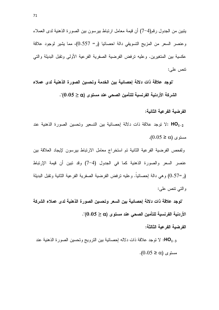يتبين من الجدول رقم(4–7) أن قيمة معامل ارتباط بيرسون بين الصورة الذهنية لدى العملاء وعنصر السعر من المزيج التسويقي دالة احصائيا (ر= 0.557)، مما يشير لوجود علاقة عكسية بين المتغيرين. وعليه ترفض الفرضية الصفرية الفرعية الأولى وتقبل البديلة والتي نتص على:

لتوجد علاقة ذات دلالة إحصائية بين الخدمة وتحسين الصورة الذهنية لدى عملاء الشركة الأردنية الفرنسية للتأمين الصحي عند مستوى  $\alpha) \geq 0.05$ ".

الفرضية الفرعية الثانية:

لا توجد علاقة ذات دلالة إحصائية بين التسعير وتحسين الصورة الذهنية عند ' $\mathsf{HO}_{1\text{-}2}$  $(0.05 \geq \alpha)$  مستوى

ولفحص الفرضية الفرعية الثانية تم استخراج معامل الارتباط بيرسون لإيجاد العلاقة بين عنصر السعر والصورة الذهنية كما في الجدول (4–7) وقد تبين أن قيمة الإرتباط (ر $0.57$ ) وهي دالة إحصائيا. وعليه نرفض الفرضية الصفرية الفرعية الثانية وتقبل البديلة والتبي نتص علمي:

"توجد علاقة ذات دلالة إحصائية بين السعر وتحسين الصورة الذهنية لدى عملاء الشركة  $\mathbb{R}^2$ الأردنية الفرنسية للتأمين الصحي عند مستوى  $\alpha) \geqslant 0.05$  .

الفرضية الفرعية الثالثة:

لا توجد علاقة ذات دلاله إحصائية بين الترويج وتحسين الصورة الذهنية عند : $\mathsf{HO}_{1\text{-}3}$  $(0.05 \geq \alpha)$  مستوى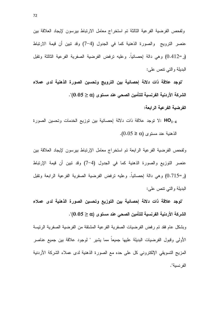ولفحص الفرضية الفرعية الثالثة تم استخراج معامل الارتباط بيرسون لإيجاد العلاقة بين عنصر الترويج والصورة الذهنية كما في الجدول (4–7) وقد نبين أن قيمة الارتباط (ر=0.412) وهي دالة إحصائيا. وعليه نرفض الفرضية الصفرية الفرعية الثالثة ونقبل البدبلة والتبي نتص على:

"توجد علاقة ذات دلالة إحصائية بين الترويج وتحسين الصورة الذهنية لدى عملاء الشركة الأردنية الفرنسية للتأمين الصحي عند مستوى  $\alpha) \geq 0.05$ ".

الفرضية الفرعية الرابعة:

Y: **HO<sub>1-4</sub> الله علاقة** ذات دلالة إحصائية بين توزيع الخدمات وتحسين الصورة »  $(0.05 \ge \alpha)$  الذهنية عند مستوى

ولفحص الفرضية الفرعية الرابعة تم استخراج معامل الإرتباط بيرسون لإيجاد العلاقة بين عنصر التوزيع والصورة الذهنية كما في الجدول (4–7) وقد نبين أن قيمة الإرتباط (ر=0.715) وهي دالة إحصائيا. وعليه نرفض الفرضية الصفرية الفرعية الرابعة ونقبل البدبلة والتبي نتص على:

"توجد علاقة ذات دلالة إحصائية بين التوزيع وتحسين الصورة الذهنية لدى عملاء الشركة الأردنية الفرنسية للتأمين الصحي عند مستوى  $\alpha) \geqslant 0.05$ ".

وبشكل عام فقد تم رفض الفرضيات الصفرية الفرعية المشتقة من الفرضية الصفرية الرئيسة الأولى وقبول الفرضيات البديلة عليها جميعا مما يشير " لوجود علاقة بين جميع عناصر المزيج التسويقي الإلكتروني كل على حده مع الصورة الذهنية لدى عملاء الشركة الأردنية الفرنسية".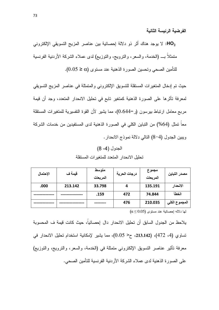الفرضبة الرئبسة الثانبة

HO2: لا يوجد هناك أثر ذو دلالة إحصائية بين عناصر المزيج التسويقي الإلكتروني متمثلاً بـــ (الخدمة، والسعر ، والنزويج، والنوزيع) لدى عملاء الشركة الأردنية الفرنسية للتأمين الصحى ونحسين الصورة الذهنية عند مستوى (0.05  $\alpha$ ).

حيث تم إدخال المتغيرات المستقلة للتسويق الإلكتروني والمتمثلة في عناصر المزيج التسويقي لمعرفة تأثَّرها على الصورة الذهنية كمتغير تابع في تحليل الانحدار المتعدد، وجد أن قيمة مربع معامل ارتباط بيرسون (ر=0.644)، مما يشير لأن القوة التفسيرية للمتغيرات المستقلة معا نمثل (64%) من النباين الكلي في الصورة الذهنية لدى المستفيدين من خدمات الشركة ويبين الجدول (4–8) النالي دلالة نموذج الانحدار .

#### الجدول (4- 8)

تحليل الانحدار المتعدد للمتغيرات المستقلة

| الإحتمال | قيمة ف  | متوسط<br>المربعات | درجات الحرية | مجموع<br>المربعات | مصدر التباين  |
|----------|---------|-------------------|--------------|-------------------|---------------|
| .000     | 213.142 | 33.798            | 4            | 135.191           | الانحدار      |
|          |         | .159              | 472          | 74.844            | الخطأ         |
|          |         |                   | 476          | 210.035           | المجموع الكلي |

 $(\alpha \leq 0.05)$ لها دلاله إحصائية عند مستوى (

يلاحظ من الجدول السابق أن تحليل الانحدار دال إحصائياً، حيث كانت فيمة ف المحسوبة تساوى (4، 472)، (213.142، ح< 0.05)، مما يشير لإمكانية استخدام تحليل الانحدار في معرفة تأثير عناصر التسويق الإلكتروني متمثلة في (الخدمة، والسعر، والترويج، والتوزيع) على الصور ة الذهنية لدى عملاء الشركة الأردنية الفرنسية للتأمين الصحى.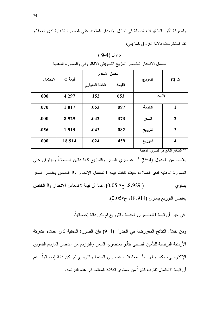ولمعرفة تأثير المتغيرات الداخلة في تحليل الانحدار المتعدد على الصورة الذهنية لدى العملاء فقد استخر جت دلالة الفر وق كما بلي:

#### جدول (9-4 )

معامل الإنحدار لعناصر المزيج التسويقي الإلكتروني والصورة الذهنية

| الاحتمال | قيمة ت |                 | معامل الانحدار |                                  | ت (t)                   |
|----------|--------|-----------------|----------------|----------------------------------|-------------------------|
|          |        | الخطأ المعيار ي | القيمة         | النموذج                          |                         |
| .000     | 4.297  | .152            | .653           | الثابث                           |                         |
| .070     | 1.817  | .053            | .097           | الخدمة                           | $\mathbf{1}$            |
| .000     | 8.929  | .042            | .373           | السعر                            | $\overline{2}$          |
| .056     | 1.915  | .043            | .082           | الترويج                          | 3                       |
| .000     | 18.914 | .024            | .459           | التوزيع                          | $\overline{\mathbf{4}}$ |
|          |        |                 |                | المتغير التابع هو الصورة الذهنية | $***$                   |

يلاحظ من الجدول (4–9) أن عنصري السعر والنوزيع كانا دالين إحصائياً ويؤثران على الصورة الذهنية لدى العملاء، حيث كانت قيمة t لمعامل الإنحدار  $\beta_2$  الخاص بعنصر السعر ل 8.929، ح< 0.05)، كما أن قيمة t لمعامل الإنحدار  $\beta_4$  الخاص ( يساو ي بعنصر التوزيع يساوي (18.914، ح<0.05).

في حين أن قيمة t للعنصر بن الخدمة والتوزيع لم تكن دالة احصائياً.

ومن خلال النتائج المعروضة في الجدول (4–9) فإن الصورة الذهنية لدى عملاء الشركة الأردنية الفرنسية للتأمين الصحى نتأثر بعنصري السعر والتوزيع من عناصر المزيج التسويق الإلكتروني، وكما يظهر بأن معاملات عنصري الخدمة والنرويج لم نكن دالة إحصائياً رغم أن قيمة الاحتمال تقترب كثير اً من مستو ي الدلالة المعتمد في هذه الدر اسة.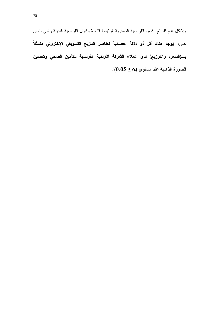وبشكل عام فقد تم رفض الفرضية الصفرية الرئيسة الثانية وقبول الفرضية البديلة والتي نتص على: "يوجد هناك أثر ذو دلالة إحصائية لعناصر المزيج التسويقي الإلكتروني متمثلاً بــــ(السعر، والتوزيع) لدى عملاء الشركة الأردنية الفرنسية للتأمين الصحي وتحسين الصورة الذهنية عند مستوى  $(\alpha, 0.05 \geq 0.05)$ ".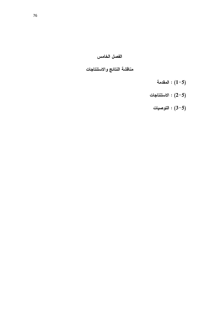# الفصل الخامس

# مناقشة النتائج والاستنتاجات

- المقدمة :  $(1-5)$
- الاستنتاجات  $(2-5)$ 
	- التوصيات :  $(3-5)$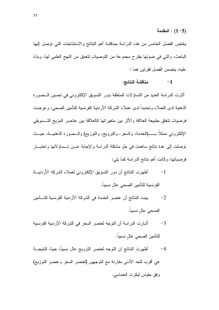المقدمة:  $(1-5)$ 

يختص الفصل الخامس من هذه الدراسة بمناقشة أهم النتائج والاستنتاجات التبي نوصل إليها الباحث، والتي في ضوئها يقترح مجموعة من التوصيات لتعمق من النهج العلمي لها، وبناءً عليه، يتضمن الفصل فقرنين هما :

#### مناقشة النتائج:  $-1$

أثارت الدر اسة العديد من النساؤ لات المتعلقة بدور النسويق الإلكتروني في تحسين الــصور ة الذهنية لدى العملاء وتحديداً لدى عملاء الشركة الأردنية الفرنسية للتأمين الصحى، وعرضت فرضيات نتعلق بطبيعة العلاقة والأثر بين متغيراتها كالعلاقة بين عناصر المزيج التــسويقي نوصلت إلى عدة نتائج ساهمت في حل مشكلة الدراسة والإجابة عـــن تـــساؤلاتها واختبـــار فرضياتها، وكانت أهم نتائج الدراسة كما يلي:

- أظهرت النتائج أن دور التسويق الإلكتروني لعملاء الشركة الأردنية  $-1$ الفرنسية للتأمين الصحى عال نسبياً.
- بينت النتائج أن عنصر الخدمة في الشركة الأردنية الفرنسية للتـــأمين  $-2$ الصحى عال نسبياً.
- أشارت الدر اسة أن التوجه لعنصر السعر في الشركة الأردنية الفرنسية  $-3$ للتأمين الصحي عال نسبياً.
- أظهرت النتائج ان التوجه لعنصر الترويج عال نسبياً، حيث النتيجـــة  $-4$ هي أقرب للحد الأدنى مقارنة مع التوجهين (لعنصر السعر وعنصر التوزيع) وفق مقياس ليكرت الخماسي.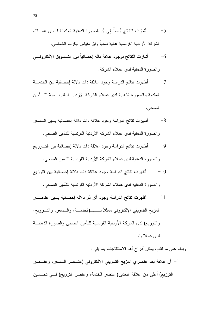- أشارت النتائج أيضاً إلى أن الصورة الذهنية المكونة لــدى عمـــلاء  $-5$ الشر كة الأر دنية الفر نسبة عالية نسبباً و فق مقباس لبكر ت الخماسي.
- أشارت النتائج بوجود علاقة دالة إحصائيا بين التـــسويق الإلكترونــــي  $-6$ والصورة الذهنية لدى عملاء الشركة.
- أظهرت نتائج الدراسة وجود علاقة ذات دلالة إحصائية بين الخدمـــة  $-7$ المقدمة والصور ة الذهنية لدى عملاء الشركة الأردنيـــة الفرنـــسية للتــــأمين الصحى.
- أظهرت نتائج الدراسة وجود علاقة ذات دلالة إحصائية بسين السسعر  $-8$ والصورة الذهنية لدى عملاء الشركة الأردنية الفرنسية للتأمين الصحى.
- أظهرت نتائج الدراسة وجود علاقة ذات دلالة إحصائية ببن التسرويج -9 و الصور ة الذهنية لدى عملاء الشركة الأر دنية الفر نسبة للتأمين الصحى.
- أظهرت نتائج الدراسة وجود علاقة ذات دلالة إحصائية بين التوزيع  $-10$ و الصور ة الذهنية لدى عملاء الشركة الأردنية الفرنسية للتأمين الصحى.
- أظهرت نتائج الدراسة وجود أثر ذو دلالة إحصائية بسين عناصسر  $-11$ و التوزيع) لدى الشركة الأردنية الفرنسية للتأمين الصحى والصورة الذهنيـــة لدى عملائها.

وبناء على ما نقدم، يمكن أدراج أهم الاستنتاجات بما يلي :

1– أن علاقة بعد عنصري المزيج التسويقي الإلكتروني (عنـــصر الـــسعر، وعنـــصر النَّوزيع) أعلى من علاقة البعدين( عنصر الخدمة، وعنصر النَّرويج) فـــى تحـــسين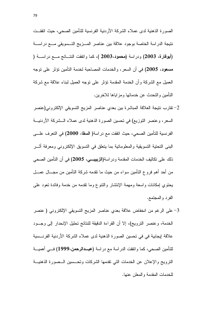الصورة الذهنية لدى عملاء الشركة الأردنية الفرنسية للتأمين الصحي، حيث اتفقــت نتيجة الدراسة الخاصة بوجود علاقة بين عناصر المسزيج التسسويقي مسع دراسسة (أَبُوفَارة، 2003) ودراسة (مُحْمُود،2003 )، كما واتفقت النتــائج مـــع دراســـة ( مسعود، 2005) في أن السعر، والخدمات المصاحبة لخدمة التأمين نؤثر على نوجه العميل مع الشركة وأن الخدمة المقدمة تؤثر على توجه العميل لبناء علاقة مع شركة التأمين و التحدث عن خدماتها و مز اباها للاخر بن.

- تقارب نتيجة العلاقة المباشرة بين بعدى عناصر المزيج التسويقي الإلكتروني(عنصر  $-2$ السعر، وعنصر التوزيع) في تحسين الصورة الذهنية لدى عملاء الــشركة الأردنيـــة الفرنسية للتأمين الصحي، حيث اتفقت مع دراسة( السقا، 2000) في التعرف علـــي البنبي التحتية التسويقية والمعلوماتية بما يتعلق في التسويق الإلكتروني ومعرفة أثـــر ذلك على تكاليف الخدمات المقدمة ودر اسة(ا**لزبيبـــي، 2005)** في أن التأمين الصحي من أحد أهم فروع التأمين سواء من حيث ما نقدمه شركة التأمين من مجـــال عمـــل يحتوي إمكانات واسعة ومهمة الإنتشار والنتوع وما نقدمه من خدمة وفائدة نعود على الفر د و المجتمع.
- 3- على الرغم من انخفاض علاقة بعدي عناصر المزيج التسويقي الإلكتروني ( عنصر الخدمة، وعنصر النرويج)، إلا أن القراءة الدقيقة للنتائج تحليل الإنحدار إلى وجـود علاقة إيجابية في في تحسين الصورة الذهنية لدى عملاء الشركة الأردنية الفرنسسية للتأمين الصحي، كما وانفقت الدراسة مع دراسة (عبـــدالرحمن،1999) فـــي أهميـــة النزويج والإعلان عن الخدمات التي نقدمها الشركات وتحسسين الــصورة الذهنيـــة للخدمات المقدمة والمعلن عنها.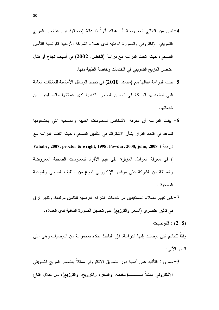- 4–تبين من النتائج المعروضة أن هناك أثراً ذا دالة إحصائية بين عناصر المزيج التسويقي الإلكتروني والصورة الذهنية لدى عملاء الشركة الأردنية الفرنسية للتأمين الصحي، حيث اتفقت الدراسة مع دراسة (ا**لخضر**، 2002) في أسباب نجاح أو فشل عناصر المزيج التسويقي في الخدمات وخاصة الطبية منها.
- بينت الدراسة اتفاقها مع (محمد، 2010) في تحديد الوسائل الأساسية للعلاقات العامة التي تستخدمها الشركة في تحسين الصورة الذهنية لدى عملائها والمستفيدين من خدماتها.
- وسنت الدراسة أن معرفة الأشخاص للمعلومات الطبية والصحية التي يحتاجونها وسلم الله معرفة وسلم الله تساعد في اتخاذ القرار بشأن الاشتراك في التأمين الصحي، حيث اتفقت الدراسة مع Vahabi , 2007; proctor & wright, 1998; Fowdar, 2008; john, 2008 ) ادراسة ) في معرفة العوامل المؤثرة على فهم الأفراد للمعلومات الصحية المعروضة والمنبثقة من الشركة على موقعها الإلكتروني كنوع من التثقيف الصحى والتوعية الصحية .
- 7–كان نقييم العملاء المستفيدين من خدمات الشركة الفرنسية للتامين مرتفعا، وظهر فرق في ناثير عنصري (السعر والنوزيع) على نحسين الصورة الذهنية لدى العملاء.
- وفقا للنتائج التي توصلت إليها الدراسة، فإن الباحث يتقدم بمجموعة من التوصيات وهي على النحو الآتي:

التوصيات : (2–5)

3–ضرورة التأكيد على أهمية دور التسويق الإلكتروني ممثلاً بعناصر المزيج التسويقي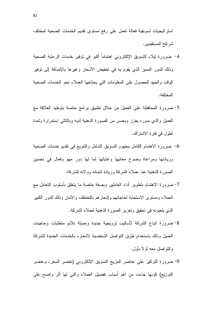استراتيجيات تسويقية فعالة تعمل على رفع مستوى تقديم الخدمات الصحية لمختلف شر ائح المستفيدين.

- 4– ضرورة إيلاء التسويق الإلكتروني اهتماما أكبر في توفير خدمات الرعاية الصحية وذلك للدور المميز الذي يقوم به في تخفيض الأسعار وغيرها بالإضافة إلى توفير الوقت والجهد للحصول على المعلومات التي يحتاجها العملاء نحو الخدمات الصحية المختلفة.
- ضرورة المحافظة على العميل من خلال نطبيق برامج خاصة بتوطيد العلاقة مع $-5$ العميل والذي بدوره يعزز ويحسن من الصورة الذهنية لديه وبالنالي استمرارة ولمدة أطول في فترة الاشتر اك.
- ضرورة الاهتمام الكامل بمفهوم التسويق الشامل والتنويع في تقديم خدمات الصحية  $\hbox{ }$ وزیادتها ومراعاة وضوح معانیها وغایاتها لما لها دور مهم وفعال فی تحسین الصورة الذهنية عند عملاء الشركة وزيادة انتمائه وولائه للشركة.
- 7–ضرورة الاهتمام بتطوير أداء العاملين وبصفة خاصة ما يتعلق بأسلوب التعامل مع العملاء ومستوى الاستجابة لحاجاتهم وإشعارهم بالتعاطف والأمان وذلك للدور الكبير الذي بلعبونه في نحقيق ونعزيز الصورة الذهنية لعملاء الشركة.
- 8–ضرورة انباع الشركة لأساليب نرويجية جديدة وحديثة نلائم منطلبات وحاجيات العميل وذلك باستخدام طرق النواصل الشخصية لاشعار ه بالخدمات الجديدة للشركة والنواصل معه أو لاَ بأول.
- 9-ضرورة التركيز على عناصر المزيج التسويق الإلكتروني (عنصر السعر، وعنصر النَّوزيع) كونها جاءت من أهم أسباب نفضيل العملاء والَّتي لها أثَّر واضح على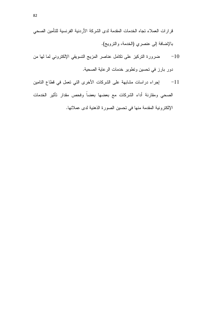قرارات العملاء تجاه الحدمات المقدمة لدى الشركة الأردنية الفرنسية للتأمين المحي  
بال
$$
\textrm{-} |  \hspace{1.5mm} |  \hspace{1.5mm}  \hspace{1.5mm} |  \hspace{1.5mm}  \hspace{1.5mm} |  \hspace{1.5mm}  \hspace{1.5mm} |  \hspace{1.5mm}  \hspace{1.5mm}  \hspace{1.5mm}  \hspace{1.5mm}  \hspace{1.5mm}  \hspace{1.5mm}  \hspace{1.5mm}  \hspace{1.5mm}  \hspace{1.5mm}  \hspace{1.5mm}  \hspace{1.5mm}  \hspace{1.5mm}  \hspace{1.5mm}  \hspace{1.5mm}  \hspace{1.5mm}  \hspace{1.5mm}  \hspace{1.5mm}  \hspace{1.5mm}  \hspace{1.5mm}  \hspace{1.5mm}  \hspace{1.5mm}  \hspace{1.5mm}  \hspace{1.5mm}  \hspace{1.5mm}  \hspace{1.5mm}  \hspace{1.5mm}  \hspace{1.5mm}  \hspace{1.5mm}  \hspace{1.5mm}  \hspace{1.5mm}  \hspace{1.5mm}  \hspace{1.5mm}  \hspace{1.5mm}  \hspace{1.5mm}  \hspace{1.5mm}  \hspace{1.5mm}  \hspace{1.5mm}  \hspace{1.5mm}  \hspace{1.5mm}  \hspace{1.5mm}  \hspace{1.5mm}  \hspace{1.5mm}  \hspace{1.5mm}  \hspace{1.5mm}  \hspace{1.5mm}  \hspace{1.5mm}  \hspace{1.5mm}  \hspace{1.5mm}  \hspace{1.5mm}  \hspace{1.5mm}  \hspace{1.5mm}  \hspace{1.5mm}  \hspace{1.5mm}  \hspace{1.5mm}  \hspace{1.5mm}  \hspace{1.5mm}  \hspace{1.5mm}  \hspace{1.
$$

- ضرورة النركيز على نكامل عناصر المزيج التسويقي الإلكتروني لما لها من  $-10$ دور بارز في تحسين وتطوير خدمات الرعاية الصحية.
- 11- إجراء دراسات مشابهة على الشركات الأخرى التي تعمل في قطاع التامين الصحي ومقارنة أداء الشركات مع بعضها بعضاً وفحص مقدار تأثير الخدمات

الإلكترونية المقدمة منها في تحسين الصورة الذهنية لدى عملائها.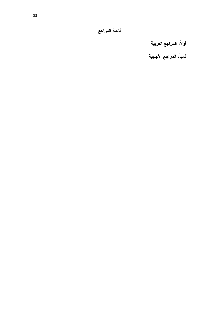أولاً: المراجع العربية

ثانياً: المراجع الأجنبية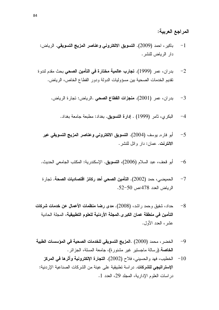المراجع العربية:

- باكير ، احمد (2009). الت**سويق الالكتروني وعناصر المزيج التسويقي**. الرياض:  $-1$ دار الرياض للنشر .
- بدر ان، عمر (1999). **تجارب عالمية مختارة في التأمين الصحي** بحث مقدم لندوة  $-2$ تقديم الخدمات الصحية بين مسؤوليات الدولة ودور القطاع الخاص، الرياض.
	- بدران، عمر (2001). م**نجزات القطاع الصحي** .الرياض: تجارة الرياض.  $-3$ 
		- البكري، ثامر (1999) . إدارة التسويق. بغداد: مطبعة جامعة بغداد.  $-4$
	- أبو فار ه, يوسف (2004). التسويق الالكتروني وعناصر المزيج التسويقي عبر  $-5$ الانترنت. عمان: دار وائل للنشر .
	- أبو قحف، عبد السلام (2006)، التسويق. الإسكندرية: المكتب الجامعي الحديث.  $-6$
	- الحميضي، حمد (2002). ا**لتأمين الصحي أحد ركائز اقتصاديات الصحة.** تجار ة  $-7$ الرباض العدد 478:ص 50-52.
- حداد، شفيق وحمد راشد، (2008). مدى رضا منظمات الأعمال عن خدمات شركات  $-8$ التأمين في منطقة عمان الكبرى.المجلة الأردنية للعلوم التطبيقية، المجلة الحادية عشر ، العدد الأول.
- الخضر ، محمد (2000) .المزيج التسويقي للخدمات الصحية في المؤسسات الطبية -9 الخاصة.(رسالة ماجستير غير مشنورة)، جامعة المسلة، الجزائر .
	- الخطيب، فهد والحسيني، فلاح (2002). التجارة الإلكترونية وأثرها في المركز  $-10$ الإ**ستراتيجي للشركات**. در اسة تطبيقية على عينة من الشركات الصناعية الإردنية: در اسات العلوم الإدارية، المجلد 29، العدد 1.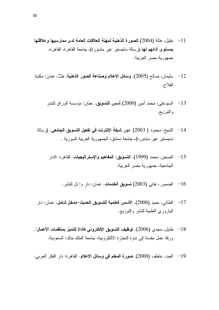- 11 خليل، هالة (2004).الصورة الذهنية لمهنة العلاقات العامة لدى ممارسيها وعلاقتها بعستوى أدائـهم لـها.(رسالـة ماجستير غير مشنورة)، جامعة القاهرة، القاهرة، جمهورية مصر العربية.
- سليمان، صـالح (2005). وسائل الاعلام وصناعة الصور الذهنية. ط2، عمان: مكتبة  $-12$ الفلاح.
	- 13 السيدعلي، محمد أمين (2000).أ**سس التسويق.** عمّان: مؤسسة الوراق للنشر والتوزيع.
	- 14 الشيخ، محمود ( 2003) .دور شبكة الإنترنت في تفعيل التسويق الجامعي. (رسالة ماجستبر غير مشنورة)، جامعة دمشق، الجمهورية العربية السورية .
		- 15 الصحن, محمد (1999). ا**لتسويق: المفاهيم والإستراتيجيات**. القاهرة :الدار الجامعية، جمهورية مصر العربية.
			- 16 الضمور، هاني (2003) تسويق الخدمات. عمان: دار وا ئل للنشر.
	- 17 الطائي، حميد (2006). الأ**سس العلمية للتسويق الحديث−مدخل شامل**. عمان: دار الباز ورى العلمية للنشر والنوزيع.
- 18 طايل، مجدي (2006). توظيف التسويق الإلكتروني كأداة للتميز بمنظمات الأعمال". ورِقة عمل مقدمة إلى ندوة النجارة الالكترونية، جامعة الملك خالد: السعودية.
- 19 العبد، عاطف (2000). صورة المعلم في وسائل الاعلام. القاهرة: دار الفكر العربي.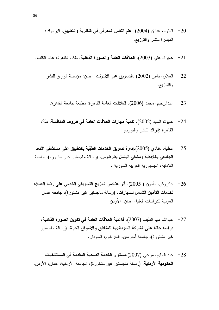- لعتوم، عدنان (2004). علم النفس المعرفي في النظرية والتطبيق. البرموك: المبسرة للنشر والتوزيع.
- 21 عجوة، على (2003). العلاقات العامة والصورة الذهنية. ط2، القاهرة: عالم الكتب.
	- 22– العلاق، بشير (2002) .التسويق عبر الانترنت. عمان: مؤسسة الوراق للنشر والتوزيع.
		- 23− عبدالرحيم، محمد (2006). ا**لعلاقات العامة**.القاهرة: مطبعة جامعة القاهرة.
	- عليوة، السيد (2002). تنمية مهارات العلاقات العامة في ظروف المنافسة. ط2،  $-24$ القاهرة :إنراك للنشر والنوزيع.
- 25 − عطية، هنادي (2005).إدارة تسويق الخدمات الطبّية بالتطبيق على مستشفى الأسد الجامعي باللافقية ومشفى الباسل بطرطوس. (رسالة ماجستير غير مشنورة)، جامعة اللاذقية، الجمهور بية العربية السورية .
- 26− عكروش، مأمون ( 2005). أثر عناصر المزيج التسويقي الخدمي على رضا العملاء لخدمات التأمين الشامل للسيارات. (رسالة ماجستير غير مشنورة)، جامعة عمان العربية للدر اسات العلبا، عمان، الأردن.
	- عبدالله، مها الطيب (2007). **فاعلية العلاقات العامة في تكوين الصورة الذهنية:**  $-27$ دراسة حالة على الشركة السودانىة للمناطق والأسواق الحرة. (رسالة ماجستير غير مشنورة)، جامعة أمدر مان، الخر طوم، السودان.
- 28 − عبد الحليم، مرعى (2007).مستوى الخدمة الصحية المقدمة في المستشفيات **الحكومية الأردنية. (**رسالة ماجستير غير مشنورة)، الجامعة الأردنية، عمان، الأردن.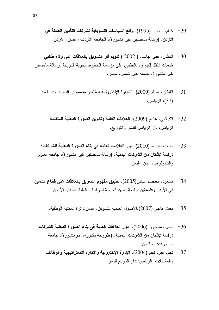- 29 غنام، سوسن (1995). واقع السياسات التسويقية لشركات التأمين العاملة في الأردن. (رسالة ماجستير غير مشنورة)، الجامعة الأردنية، عمان، الأردن.
- القطان، عبير جاسم. ( 2002 ) تقويم أثر التسويق بالعلاقات على ولاء طالبي  $-30$ **خدمات النقل الجو ي**، بالتطبيق على مؤسسة الخطوط الجوية الكويتية .رسالة ماجستير غير منشور ة، جامعة عين شمس، مصر .
	- 31 القطان، هشام (2000). التجارة الإلكترونية إستثمار مضمون. إقتصاديات، الحدد (37)، الرياض.
		- لكيلاني، هشام (2009). العلاقات العامة وتكوين الصورة الذهنية للمنظمة.  $-32$ الرباض: دار الرباض للنشر والتوزبع.
	- 33 محمد، عبدالله (2010). دور العلاقات العامة في بناء الصورة الذهنية للشركات: دراسة لإثنتان من الشركات اليمنية. (رسالة ماجستير غير مشنورة)، جامعة العلوم و التكنو لو جبا، عدن، البمن.
- 34 مسعود، معتصم عباس(2005). تطبيق مفهوم التسويق بالعلاقات على قطاع التأمين في الأردن وفلسطين.جامعة عمان العربية للدراسات العليا، عمان، الأردن.
	- 35 معلا، ناجي (2007).الأصول العلمية للتسويق. عمان:دائر ة المكتبة الوطنية.
	- ناجي، منصور (2006). دور العلاقات العامة في بناء الصورة الذهنية للشركات: " دراسة لإثنتان من الشركات اليمنية. (اطروحه دكتوراه غيرمنشورة)، جامعة مبسور :عدن، البمن.
		- 37 نجم, عبود نجم (2004). الإدارة الإلكترونية والإدارة الإستراتيجية والوظائف والمشكلات. الرياض: دار المريخ للنشر.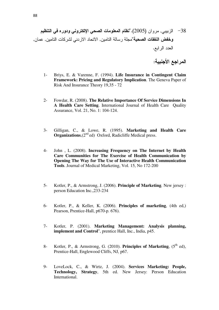# 38<sup>—</sup> الزبيبي, مروان (2005)."**نظام المعلومات الصحي الإلكتروني ودوره في التنظيم وخفض النفقات الصحية"**مجلة رسالة النامين, الاتحاد الاردني لشركات النامين, عمان, العدد الرابع.

المراجع الأجنبية:

- 1- Briys, E. & Varenne, F. (1994). **Life Insurance in Contingent Claim Framework: Pricing and Regulatory Implication**. The Geneva Paper of Risk And Insurance Theory 19,35 - 72
- 2- Fowdar, R. (2008). **The Relative Importance Of Service Dimensions In A Health Care Setting**. International Journal of Health Care Quality Assurance, Vol. 21, No. 1: 104-124.
- 3- Gilligan, C., & Lowe, R. (1995). **Marketing and Health Care Organizations**,(2<sup>nd</sup> ed) Oxford, Radicliffe Medical press.
- 4- John , L. (2008). **Increasing Frequency on The Internet by Health Care Communities for The Exercise of Health Communication by Opening The Way for The Use of Interactive Health Communication Tools**. Journal of Medical Marketing, Vol. 15, No 172-200
- 5- Kotler, P., & Armstrong, J. (2006). **Principle of Marketing**. New jersey : person Education Inc.,233-234
- 6- Kotler, P., & Keller, K. (2006). **Principles of marketing**, (4th ed,) Pearson, Prentice-Hall, p670-p. 676).
- 7- Kotler, P. (2001). **Marketing Management: Analysis planning, implement and Control**", prentice Hall, Inc., India, p45.
- 8- Kotler, P., & Armstrong, G. (2010). **Principles of Marketing**, (5<sup>th</sup> ed), Prentice-Hall, Englewood Cliffs, NJ, p67.
- 9- LoveLock, C., & Wirtz, J. (2004). **Services Marketing: People, Technology, Strategy**, 5th ed. New Jersey: Person Education International.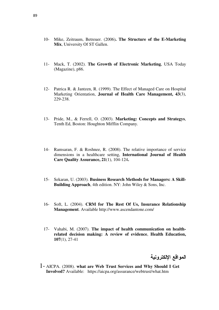- 10- Mike, Zeitraum, Betreuer. (2006)**. The Structure of the E-Marketing Mix**, University Of ST Gallen.
- 11- Mack, T. (2002). **The Growth of Electronic Marketing**, USA Today (Magazine), p86.
- 12- Patrica R. & Jantzen, R. (1999). The Effect of Managed Care on Hospital Marketing Orientation, **Journal of Health Care Management, 43**(3), 229-238.
- 13- Pride, M., & Ferrell, O. (2003). **Marketing: Concepts and Strategys**, Tenth Ed, Boston: Houghton Mifflin Company.
- 14- Ramsaran, F. & Roshnee, R. (2008). The relative importance of service dimensions in a healthcare setting, **International Journal of Health Care Quality Assurance, 21**(1), 104-124**.**
- 15- Sekaran, U. (2003). **Business Research Methods for Managers: A Skill-Building Approach**, 4th edition. NY: John Wiley & Sons, Inc.
- 16- Soft, L. (2004). **CRM for The Rest Of Us, Insurance Relationship Management**. Available http://www.ascendantone.com/
- 17- Vahabi, M. (2007). **The impact of health communication on healthrelated decision making: A review of evidence**, **Health Education, 107**(1), 27-41

المواقع الإلكترونية

1- AICPA. (2008). **what are Web Trust Services and Why Should I Get Involved?** Available: https://aicpa.org/assurance/webtrust/what.htm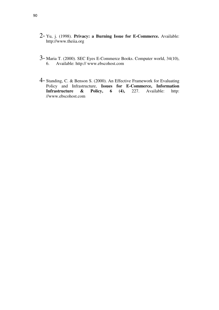- 2- Yu, j. (1998). **Privacy: a Burning Issue for E-Commerce.** Available: http://www.theiia.org
- 3- Maria T. (2000). SEC Eyes E-Commerce Books. Computer world, 34(10), 6. Available: http:// www.ebscohost.com
- 4- Standing, C. & Benson S. (2000). An Effective Framework for Evaluating Policy and Infrastructure, **Issues for E-Commerce, Information Infrastructure & Policy, 6 (4),** 227. Available: http: **Infrastructure & Policy, 6 (4),** 227. Available: http: //www.ebscohost.com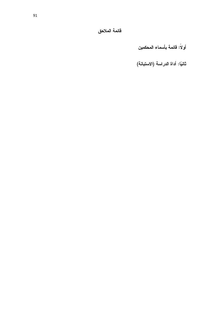أولاً: قائمة بأسماء المحكمين

ثانيًا: أداة الدراسة (الاستبانة)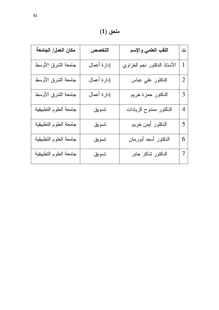ملحق (1)

| مكان العمل/ الجامعة    | التخصص      | اللقب العلمي والإسم         | ت              |
|------------------------|-------------|-----------------------------|----------------|
| جامعة الشرق الأوسط     | إدارة أعمال | الأستاذ الدكتور نجم العزاوي | 1              |
| جامعة الشرق الأوسط     | إدارة أعمال | الدكتور علي عباس            | $\overline{2}$ |
| جامعة الشرق الأوسط     | إدارة أعمال | الدكتور حمزة خريم           | 3              |
| جامعة العلوم التطبيقية | تسويق       | الدكتور ممدوح الزيادات      | $\overline{4}$ |
| جامعة العلوم التطبيقية | تسويق       | الدكتور أيمن خريم           | 5              |
| جامعة العلوم التطبيقية | تسويق       | الدكتور أسعد أبورمان        | 6              |
| جامعة العلوم التطبيقية | تسويق       | الدكتور شاكر جابر           | $\overline{7}$ |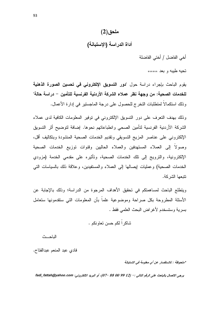## ملحق(2)

#### أداة الدراسة (الإستبانة)

أخي الفاضل / أختى الفاضلة

تحيه طيبه و بعد ،،،،،

يقوم الباحث بإجراء دراسة حول "**دور التسويق الإلكتروني في تحسين الصورة الذهنية** للخدمات الصحية: من وجهة نظر عملاء الشركة الأردنية الفرنسية للتأمين – دراسة حالة" وذلك استكمالاً لمنطلبات النخرج للحصول على درجة الماجستير في إدارة الأعمال.

وذلك بهدف النعرف على دور النسويق الإلكتروني في نوفير المعلومات الكافية لدى عملاء الشركة الأردنية الفرنسية لتأمين الصحى وانطباعاتهم نحوها. إضافة لتوضيح أثر التسويق الإلكتروني على عناصر المزيج التسويقي ونقديم الخدمات الصحية المنشودة وبتكاليف أقل، وصولا إلى العملاء المستهدفين والعملاء الحاليين وقنوات نوزيع الخدمات الصحية الإلكترونية، والترويج إلى تلك الخدمات الصحية، وتأثيره على مقدمى الخدمة (مزودي الخدمات الصحية) وعمليات إيصالها إلى العملاء والمستفيدين، وعلاقة ذلك بالسياسات التي نتتعها الشركة.

ويتطلع الباحث لمساهمتكم في تحقيق الأهداف المرجوة من الدراسة؛ وذلك بالإجابة عن الأسئلة المطروحة بكل صراحة وموضوعية علماً بأن المعلومات التبي ستقدمونها ستعامل بسرية وستسخدم لأغراض البحث العلمي فقط .

شاكراً لكم حسن تعاونكم .

الباحث

فادى عبد المنعم عبدالفتاح.

\*ملحوظة : للاستفسار عن أي معلومة في الاستبانة

يرجى الاتصال بالباحث على الرقم التالي :− (12 99 00 88 −07)، أو البريد الالكتروني: fadi\_fattah@yahoo.com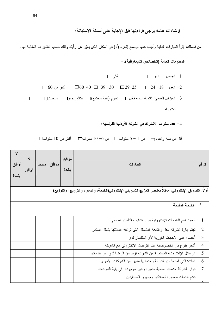## إرشادات عامه يرجى قراءتها قبل الإجابة على أسئلة الاستبانة:

من فضلك، إقرأ العبارات النالية وأجب عنها بوضع إشارة (√) في المكان الذي يعبّر عن رأيك وذلك حسب التقديرات المقابلة لها. المعلومات العامة (الخصائص الديمغر افية):—

- أنثى □ ا **الجنس:** ذكر  $-1$  $\Box$  18 → 18 → 14  $\Box$  18 → 19 → 39 → 30 → 39 → 30 → 50 → أكبر من 60  $\Box$ 3− العوؤهل العلمي: ثانوية عامة فأقل□ دبلوم (كلية مجتمع)□ بكالوريوس□ ماجستيل  $\Box$ دكتوراه
	- 4– عدد سنوات الاشتراك في الشركة الأردنية الفرنسية:

أقل من سنة واحدة □ من 1 − 5 سنوات □ من 6− 10 سنوات□ أكثر من 10 سنوات□

| צ<br>أو افق<br>بشدة                                                                                     | צ<br>أوافق | محايد | موافق | مو افق<br>بشدة | العبارات                                                             | الرقم          |  |  |
|---------------------------------------------------------------------------------------------------------|------------|-------|-------|----------------|----------------------------------------------------------------------|----------------|--|--|
| أولاً: التسويق الإلكتروني، ممثلاً بعناصر المزيج التسويقي الإلكتروني(الخدمة، والسعر، والترويج، والتوزيع) |            |       |       |                |                                                                      |                |  |  |
| أ– الخدمة المقدمة                                                                                       |            |       |       |                |                                                                      |                |  |  |
|                                                                                                         |            |       |       |                | وجود قسم للخدمات الإلكترونية يبرر نكاليف التأمين الصحى               | $\mathbf{1}$   |  |  |
|                                                                                                         |            |       |       |                | نهتم إدارة الشركة بحل ومنابعة المشاكل التبي نواجه عملائها بشكل مستمر | $\overline{2}$ |  |  |
|                                                                                                         |            |       |       |                | أحصل على الإجابات الفورية لأي استفسار لدي                            | $\overline{3}$ |  |  |
|                                                                                                         |            |       |       |                | أشعر بنوع من الخصوصية عند النواصل الإلكتروني مع الشركة               | $\overline{4}$ |  |  |
|                                                                                                         |            |       |       |                | الرسائل الإلكترونية المستمرة من الشركة نزيد من الرضا لدي عن خدماتها  | 5              |  |  |
|                                                                                                         |            |       |       |                | الفائدة النبي أجدها من الشركة وخدماتها نتميز عن الشركات الأخرى       | 6              |  |  |
|                                                                                                         |            |       |       |                | توفر الشركة خدمات صحية متميزة وغير موجودة  في بقية الشركات           | $\overline{7}$ |  |  |
|                                                                                                         |            |       |       |                | نقدم خدمات منطورة لعملائها وجمهور المستفيدين                         |                |  |  |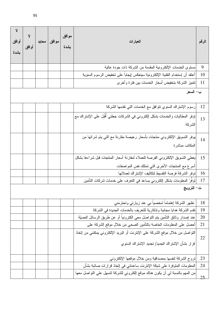| צ<br>أوافق<br>شدة | أوافق |  | موافق   محايد | موافق<br>بشدة | العبارات                                                                                                                             | الرقم |
|-------------------|-------|--|---------------|---------------|--------------------------------------------------------------------------------------------------------------------------------------|-------|
|                   |       |  |               |               | مستوى الخدمات الإلكترونية المقدمة من الشركة ذات جودة عالية                                                                           | 9     |
|                   |       |  |               |               | أعتقد أن إستخدام التقنية الإلكترونية سينعكس إيجاباً على تخفيض الرسوم السنوية                                                         | 10    |
|                   |       |  |               |               | نتميز الشركة بتخفيض أسعار الخدمات بين فنرة وأخرى                                                                                     | 11    |
| ب– السعر          |       |  |               |               |                                                                                                                                      |       |
|                   |       |  |               |               | رسوم الإشتراك السنوي نتوافق مع الخدمات التي تقدمها الشركة                                                                            | 12    |
|                   |       |  |               |               | نوفر المطالبات والخدمات بشكل الكتروني في الشركات جعلني أُقْبِل على الإشتراك مع<br>الشركة                                             | 13    |
|                   |       |  |               |               | بوفر التسويق الإلكتروني منتجات بأسعار رخيصة مقارنة مع التي يتم شرائها من<br>المكاتب مباشرة                                           | 14    |
|                   |       |  |               |               | يعطي التسويق الإلكتروني الفرصة للعملاء لمقارنة أسعار المنتجات قبل شراءها بشكل                                                        | 15    |
|                   |       |  |               |               | أسرع مع المنتجات الأخرى التي تمتلك نفس المواصفات                                                                                     |       |
|                   |       |  |               |               | نوفر الشركة فرصة التقسيط لتكاليف الإشتراك لعملائها                                                                                   | 16    |
|                   |       |  |               |               | نوَفرْ المعلومات بشكل الكتروني بساعد في النعرف على خدمات شركات النأمين                                                               | 17    |
|                   |       |  |               |               | ت– الترويج                                                                                                                           |       |
|                   |       |  |               |               | نظهر الشركة إهتماما شخصيا ببي عند زيارتبي وتحترمنبي                                                                                  | 18    |
|                   |       |  |               |               | تقدم الشركة هدايا مجانية وتذكارية للتعريف بالخدمات الجديدة في الشركة                                                                 | 19    |
|                   |       |  |               |               | عند إصدار وثائق النأمين بنم النواصل معي الكترونيا أو عن طريق الرسائل النصيّة                                                         | 20    |
|                   |       |  |               |               | أحصل على المعلومات الخاصة بالتأمين الصحي من خلال موقع الشركة على                                                                     | 21    |
|                   |       |  |               |               | النواصل من خلال موقع الشركة على الإنترنت أو البريد الإلكتروني بمكنني من إنخاذ<br>قر ار بشأن الإشتر اك الجديد/ تجديد الإشتر اك السنوي | 22    |
|                   |       |  |               |               | نروج الشركة لنفسها بمصداقية ومن خلال موقعها الإلكتروني                                                                               | 23    |
|                   |       |  |               |               | المعلومات المتوفرة على شبكة الإنترنت ساعدتني في إتخاذ قرارات صائبة بشأن                                                              | 24    |
|                   |       |  |               |               | من المهم بالنسبة لمي أن يكون هناك موقع إلكتروني للشركة لتسهل علي التواصل معها                                                        | 25    |